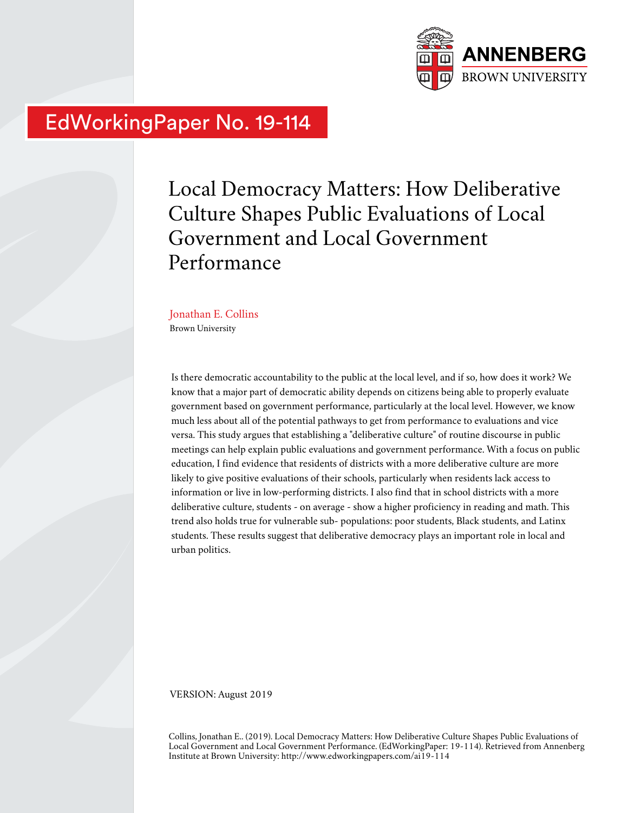

# EdWorkingPaper No. 19-114

# Local Democracy Matters: How Deliberative Culture Shapes Public Evaluations of Local Government and Local Government Performance

Jonathan E. Collins Brown University

Is there democratic accountability to the public at the local level, and if so, how does it work? We know that a major part of democratic ability depends on citizens being able to properly evaluate government based on government performance, particularly at the local level. However, we know much less about all of the potential pathways to get from performance to evaluations and vice versa. This study argues that establishing a "deliberative culture" of routine discourse in public meetings can help explain public evaluations and government performance. With a focus on public education, I find evidence that residents of districts with a more deliberative culture are more likely to give positive evaluations of their schools, particularly when residents lack access to information or live in low-performing districts. I also find that in school districts with a more deliberative culture, students - on average - show a higher proficiency in reading and math. This trend also holds true for vulnerable sub- populations: poor students, Black students, and Latinx students. These results suggest that deliberative democracy plays an important role in local and urban politics.

VERSION: August 2019

Collins, Jonathan E.. (2019). Local Democracy Matters: How Deliberative Culture Shapes Public Evaluations of Local Government and Local Government Performance. (EdWorkingPaper: 19-114). Retrieved from Annenberg Institute at Brown University: http://www.edworkingpapers.com/ai19-114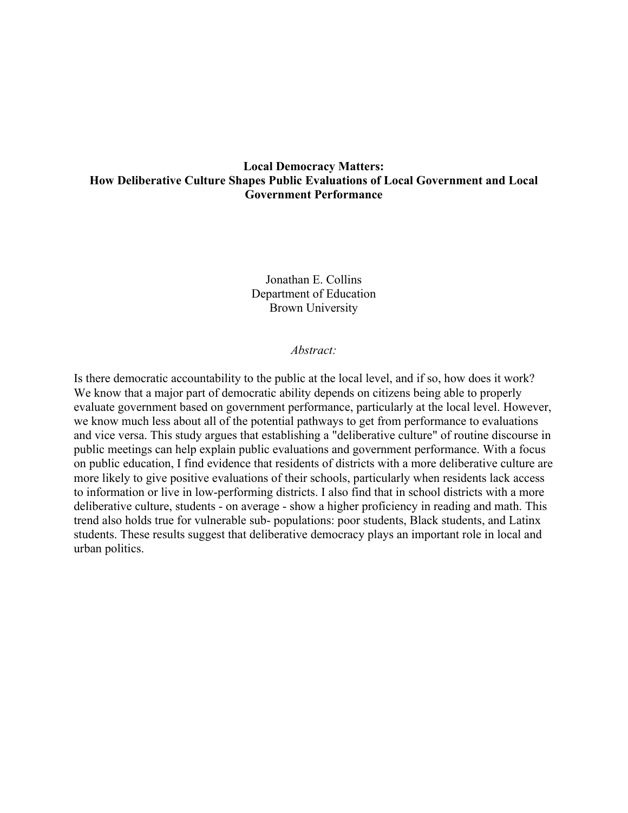## **Local Democracy Matters: How Deliberative Culture Shapes Public Evaluations of Local Government and Local Government Performance**

Jonathan E. Collins Department of Education Brown University

### *Abstract:*

Is there democratic accountability to the public at the local level, and if so, how does it work? We know that a major part of democratic ability depends on citizens being able to properly evaluate government based on government performance, particularly at the local level. However, we know much less about all of the potential pathways to get from performance to evaluations and vice versa. This study argues that establishing a "deliberative culture" of routine discourse in public meetings can help explain public evaluations and government performance. With a focus on public education, I find evidence that residents of districts with a more deliberative culture are more likely to give positive evaluations of their schools, particularly when residents lack access to information or live in low-performing districts. I also find that in school districts with a more deliberative culture, students - on average - show a higher proficiency in reading and math. This trend also holds true for vulnerable sub- populations: poor students, Black students, and Latinx students. These results suggest that deliberative democracy plays an important role in local and urban politics.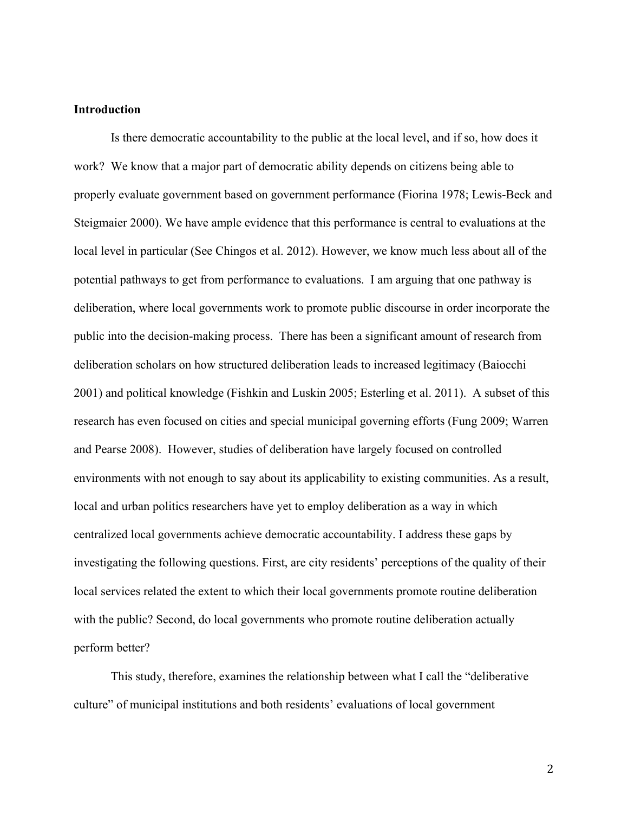## **Introduction**

Is there democratic accountability to the public at the local level, and if so, how does it work? We know that a major part of democratic ability depends on citizens being able to properly evaluate government based on government performance (Fiorina 1978; Lewis-Beck and Steigmaier 2000). We have ample evidence that this performance is central to evaluations at the local level in particular (See Chingos et al. 2012). However, we know much less about all of the potential pathways to get from performance to evaluations. I am arguing that one pathway is deliberation, where local governments work to promote public discourse in order incorporate the public into the decision-making process. There has been a significant amount of research from deliberation scholars on how structured deliberation leads to increased legitimacy (Baiocchi 2001) and political knowledge (Fishkin and Luskin 2005; Esterling et al. 2011). A subset of this research has even focused on cities and special municipal governing efforts (Fung 2009; Warren and Pearse 2008). However, studies of deliberation have largely focused on controlled environments with not enough to say about its applicability to existing communities. As a result, local and urban politics researchers have yet to employ deliberation as a way in which centralized local governments achieve democratic accountability. I address these gaps by investigating the following questions. First, are city residents' perceptions of the quality of their local services related the extent to which their local governments promote routine deliberation with the public? Second, do local governments who promote routine deliberation actually perform better?

This study, therefore, examines the relationship between what I call the "deliberative culture" of municipal institutions and both residents' evaluations of local government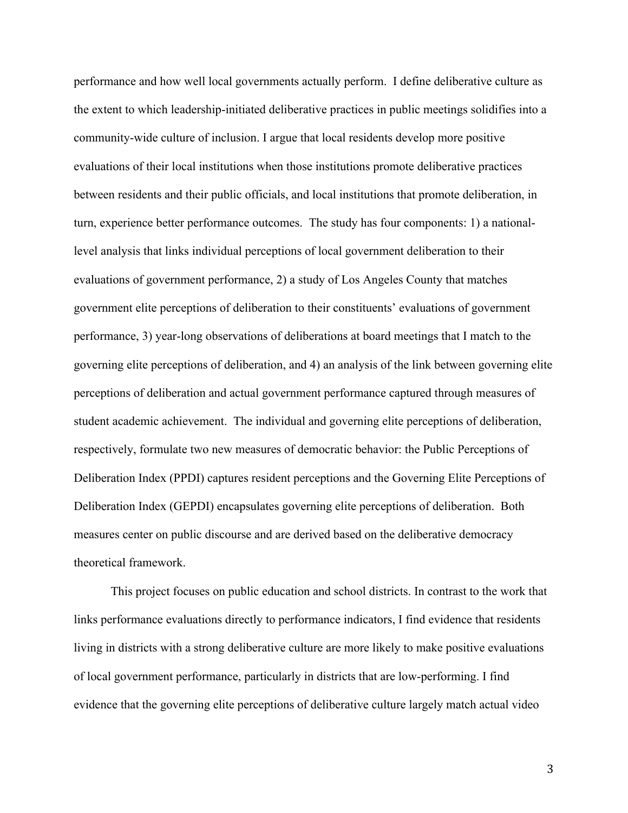performance and how well local governments actually perform. I define deliberative culture as the extent to which leadership-initiated deliberative practices in public meetings solidifies into a community-wide culture of inclusion. I argue that local residents develop more positive evaluations of their local institutions when those institutions promote deliberative practices between residents and their public officials, and local institutions that promote deliberation, in turn, experience better performance outcomes. The study has four components: 1) a nationallevel analysis that links individual perceptions of local government deliberation to their evaluations of government performance, 2) a study of Los Angeles County that matches government elite perceptions of deliberation to their constituents' evaluations of government performance, 3) year-long observations of deliberations at board meetings that I match to the governing elite perceptions of deliberation, and 4) an analysis of the link between governing elite perceptions of deliberation and actual government performance captured through measures of student academic achievement. The individual and governing elite perceptions of deliberation, respectively, formulate two new measures of democratic behavior: the Public Perceptions of Deliberation Index (PPDI) captures resident perceptions and the Governing Elite Perceptions of Deliberation Index (GEPDI) encapsulates governing elite perceptions of deliberation. Both measures center on public discourse and are derived based on the deliberative democracy theoretical framework.

This project focuses on public education and school districts. In contrast to the work that links performance evaluations directly to performance indicators, I find evidence that residents living in districts with a strong deliberative culture are more likely to make positive evaluations of local government performance, particularly in districts that are low-performing. I find evidence that the governing elite perceptions of deliberative culture largely match actual video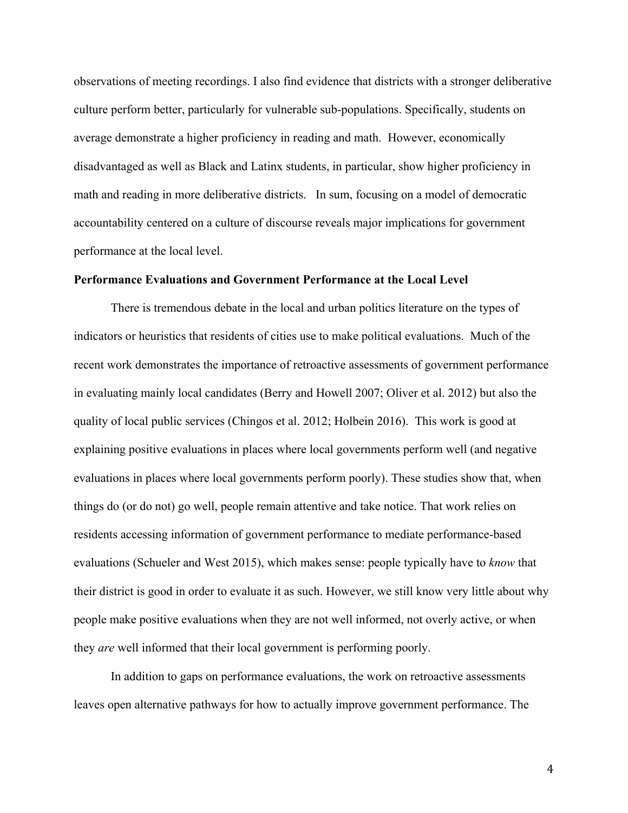observations of meeting recordings. I also find evidence that districts with a stronger deliberative culture perform better, particularly for vulnerable sub-populations. Specifically, students on average demonstrate a higher proficiency in reading and math. However, economically disadvantaged as well as Black and Latinx students, in particular, show higher proficiency in math and reading in more deliberative districts. In sum, focusing on a model of democratic accountability centered on a culture of discourse reveals major implications for government performance at the local level.

#### **Performance Evaluations and Government Performance at the Local Level**

There is tremendous debate in the local and urban politics literature on the types of indicators or heuristics that residents of cities use to make political evaluations. Much of the recent work demonstrates the importance of retroactive assessments of government performance in evaluating mainly local candidates (Berry and Howell 2007; Oliver et al. 2012) but also the quality of local public services (Chingos et al. 2012; Holbein 2016). This work is good at explaining positive evaluations in places where local governments perform well (and negative evaluations in places where local governments perform poorly). These studies show that, when things do (or do not) go well, people remain attentive and take notice. That work relies on residents accessing information of government performance to mediate performance-based evaluations (Schueler and West 2015), which makes sense: people typically have to *know* that their district is good in order to evaluate it as such. However, we still know very little about why people make positive evaluations when they are not well informed, not overly active, or when they *are* well informed that their local government is performing poorly.

In addition to gaps on performance evaluations, the work on retroactive assessments leaves open alternative pathways for how to actually improve government performance. The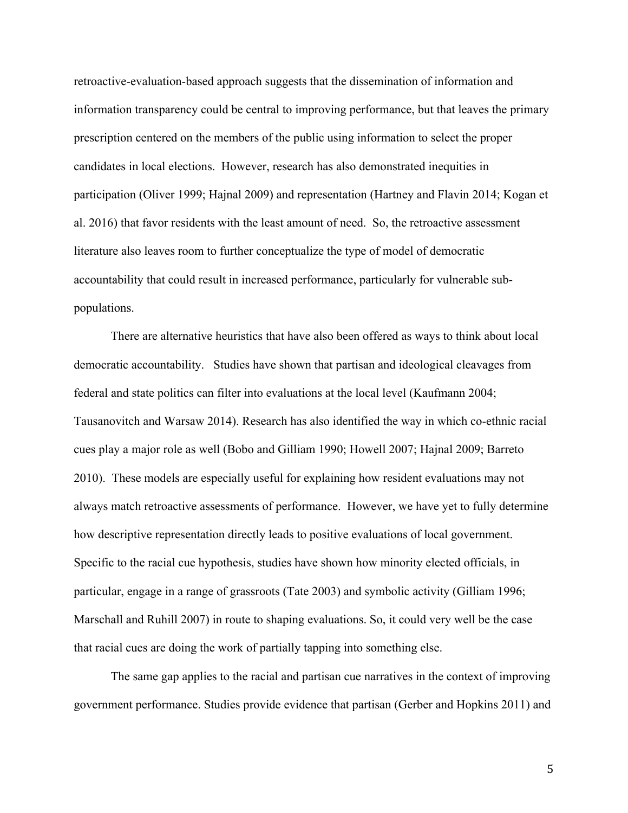retroactive-evaluation-based approach suggests that the dissemination of information and information transparency could be central to improving performance, but that leaves the primary prescription centered on the members of the public using information to select the proper candidates in local elections. However, research has also demonstrated inequities in participation (Oliver 1999; Hajnal 2009) and representation (Hartney and Flavin 2014; Kogan et al. 2016) that favor residents with the least amount of need. So, the retroactive assessment literature also leaves room to further conceptualize the type of model of democratic accountability that could result in increased performance, particularly for vulnerable subpopulations.

There are alternative heuristics that have also been offered as ways to think about local democratic accountability. Studies have shown that partisan and ideological cleavages from federal and state politics can filter into evaluations at the local level (Kaufmann 2004; Tausanovitch and Warsaw 2014). Research has also identified the way in which co-ethnic racial cues play a major role as well (Bobo and Gilliam 1990; Howell 2007; Hajnal 2009; Barreto 2010). These models are especially useful for explaining how resident evaluations may not always match retroactive assessments of performance. However, we have yet to fully determine how descriptive representation directly leads to positive evaluations of local government. Specific to the racial cue hypothesis, studies have shown how minority elected officials, in particular, engage in a range of grassroots (Tate 2003) and symbolic activity (Gilliam 1996; Marschall and Ruhill 2007) in route to shaping evaluations. So, it could very well be the case that racial cues are doing the work of partially tapping into something else.

The same gap applies to the racial and partisan cue narratives in the context of improving government performance. Studies provide evidence that partisan (Gerber and Hopkins 2011) and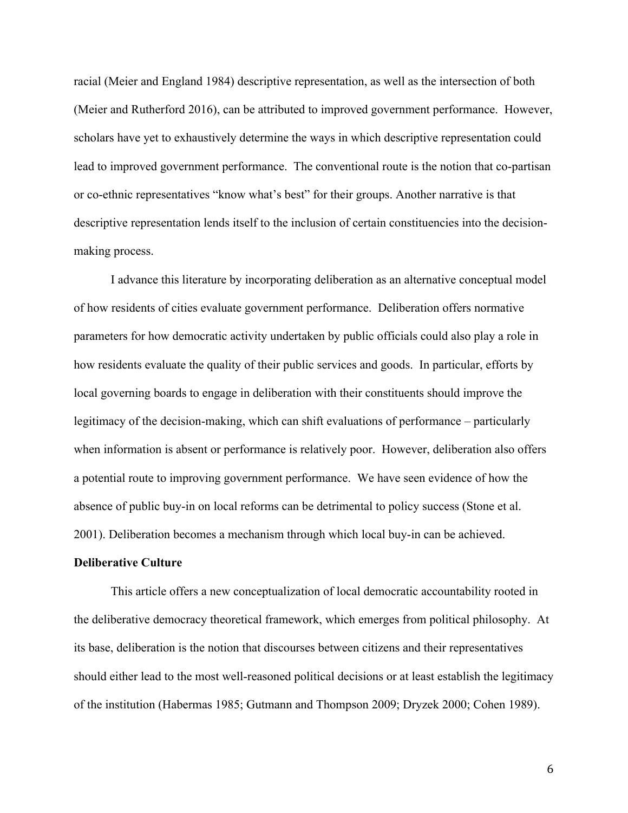racial (Meier and England 1984) descriptive representation, as well as the intersection of both (Meier and Rutherford 2016), can be attributed to improved government performance. However, scholars have yet to exhaustively determine the ways in which descriptive representation could lead to improved government performance. The conventional route is the notion that co-partisan or co-ethnic representatives "know what's best" for their groups. Another narrative is that descriptive representation lends itself to the inclusion of certain constituencies into the decisionmaking process.

I advance this literature by incorporating deliberation as an alternative conceptual model of how residents of cities evaluate government performance. Deliberation offers normative parameters for how democratic activity undertaken by public officials could also play a role in how residents evaluate the quality of their public services and goods. In particular, efforts by local governing boards to engage in deliberation with their constituents should improve the legitimacy of the decision-making, which can shift evaluations of performance – particularly when information is absent or performance is relatively poor. However, deliberation also offers a potential route to improving government performance. We have seen evidence of how the absence of public buy-in on local reforms can be detrimental to policy success (Stone et al. 2001). Deliberation becomes a mechanism through which local buy-in can be achieved.

#### **Deliberative Culture**

This article offers a new conceptualization of local democratic accountability rooted in the deliberative democracy theoretical framework, which emerges from political philosophy. At its base, deliberation is the notion that discourses between citizens and their representatives should either lead to the most well-reasoned political decisions or at least establish the legitimacy of the institution (Habermas 1985; Gutmann and Thompson 2009; Dryzek 2000; Cohen 1989).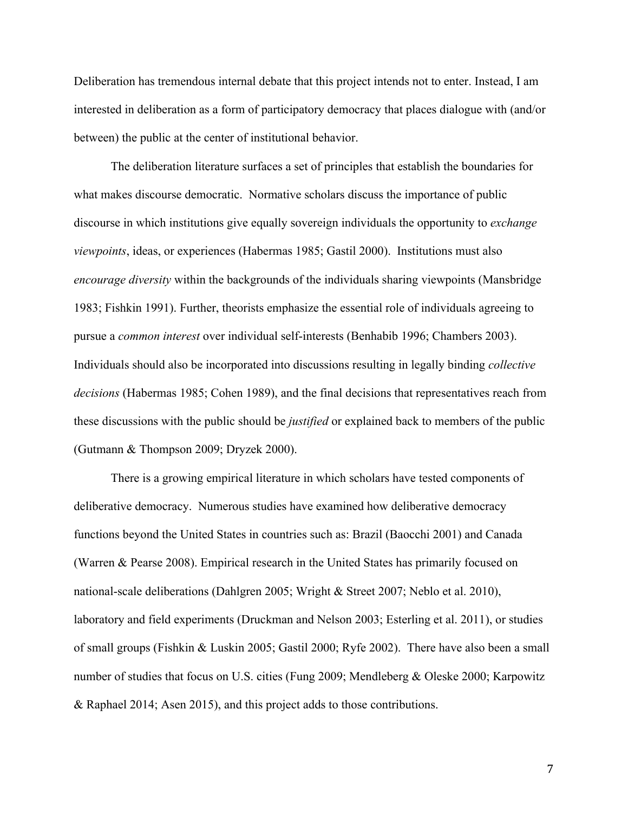Deliberation has tremendous internal debate that this project intends not to enter. Instead, I am interested in deliberation as a form of participatory democracy that places dialogue with (and/or between) the public at the center of institutional behavior.

The deliberation literature surfaces a set of principles that establish the boundaries for what makes discourse democratic. Normative scholars discuss the importance of public discourse in which institutions give equally sovereign individuals the opportunity to *exchange viewpoints*, ideas, or experiences (Habermas 1985; Gastil 2000). Institutions must also *encourage diversity* within the backgrounds of the individuals sharing viewpoints (Mansbridge 1983; Fishkin 1991). Further, theorists emphasize the essential role of individuals agreeing to pursue a *common interest* over individual self-interests (Benhabib 1996; Chambers 2003). Individuals should also be incorporated into discussions resulting in legally binding *collective decisions* (Habermas 1985; Cohen 1989), and the final decisions that representatives reach from these discussions with the public should be *justified* or explained back to members of the public (Gutmann & Thompson 2009; Dryzek 2000).

There is a growing empirical literature in which scholars have tested components of deliberative democracy. Numerous studies have examined how deliberative democracy functions beyond the United States in countries such as: Brazil (Baocchi 2001) and Canada (Warren & Pearse 2008). Empirical research in the United States has primarily focused on national-scale deliberations (Dahlgren 2005; Wright & Street 2007; Neblo et al. 2010), laboratory and field experiments (Druckman and Nelson 2003; Esterling et al. 2011), or studies of small groups (Fishkin & Luskin 2005; Gastil 2000; Ryfe 2002). There have also been a small number of studies that focus on U.S. cities (Fung 2009; Mendleberg & Oleske 2000; Karpowitz & Raphael 2014; Asen 2015), and this project adds to those contributions.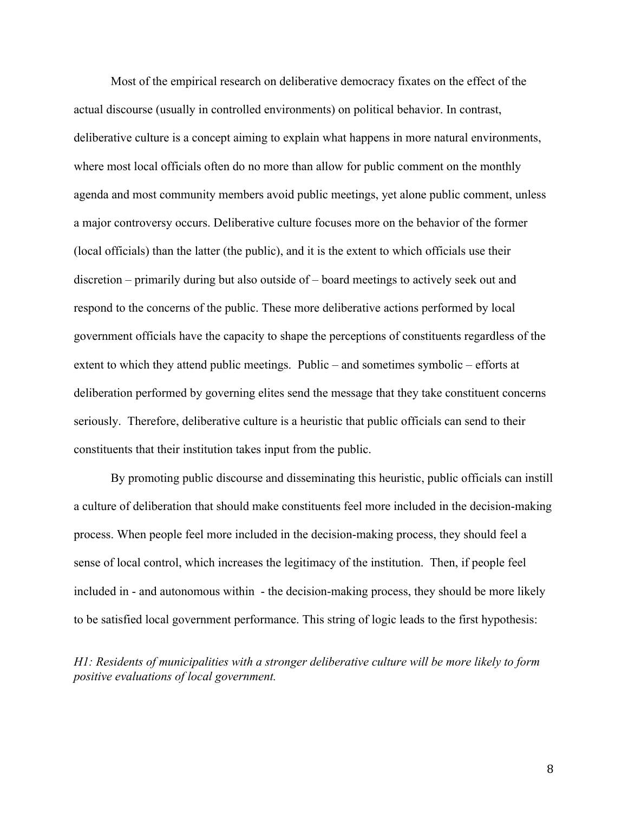Most of the empirical research on deliberative democracy fixates on the effect of the actual discourse (usually in controlled environments) on political behavior. In contrast, deliberative culture is a concept aiming to explain what happens in more natural environments, where most local officials often do no more than allow for public comment on the monthly agenda and most community members avoid public meetings, yet alone public comment, unless a major controversy occurs. Deliberative culture focuses more on the behavior of the former (local officials) than the latter (the public), and it is the extent to which officials use their discretion – primarily during but also outside of – board meetings to actively seek out and respond to the concerns of the public. These more deliberative actions performed by local government officials have the capacity to shape the perceptions of constituents regardless of the extent to which they attend public meetings. Public – and sometimes symbolic – efforts at deliberation performed by governing elites send the message that they take constituent concerns seriously. Therefore, deliberative culture is a heuristic that public officials can send to their constituents that their institution takes input from the public.

By promoting public discourse and disseminating this heuristic, public officials can instill a culture of deliberation that should make constituents feel more included in the decision-making process. When people feel more included in the decision-making process, they should feel a sense of local control, which increases the legitimacy of the institution. Then, if people feel included in - and autonomous within - the decision-making process, they should be more likely to be satisfied local government performance. This string of logic leads to the first hypothesis:

*H1: Residents of municipalities with a stronger deliberative culture will be more likely to form positive evaluations of local government.*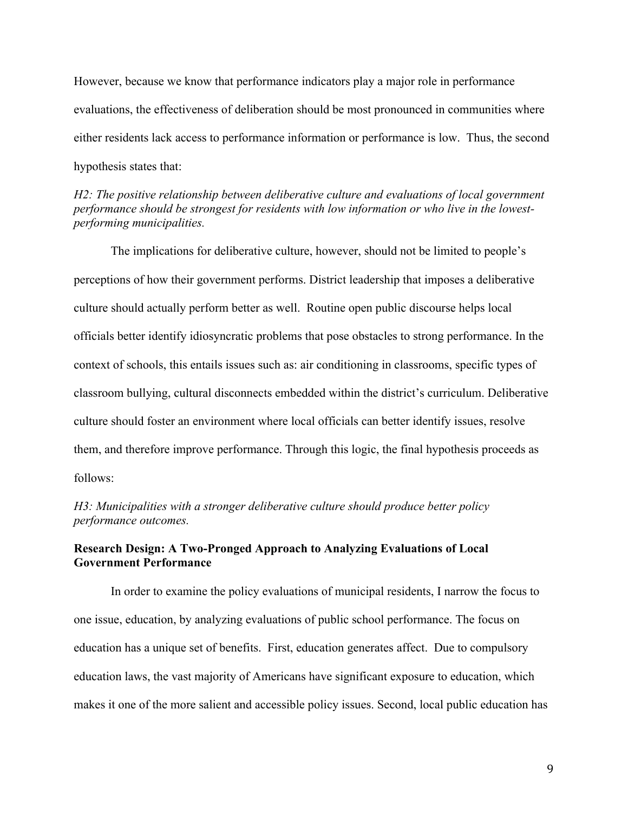However, because we know that performance indicators play a major role in performance evaluations, the effectiveness of deliberation should be most pronounced in communities where either residents lack access to performance information or performance is low. Thus, the second hypothesis states that:

*H2: The positive relationship between deliberative culture and evaluations of local government performance should be strongest for residents with low information or who live in the lowestperforming municipalities.*

The implications for deliberative culture, however, should not be limited to people's perceptions of how their government performs. District leadership that imposes a deliberative culture should actually perform better as well. Routine open public discourse helps local officials better identify idiosyncratic problems that pose obstacles to strong performance. In the context of schools, this entails issues such as: air conditioning in classrooms, specific types of classroom bullying, cultural disconnects embedded within the district's curriculum. Deliberative culture should foster an environment where local officials can better identify issues, resolve them, and therefore improve performance. Through this logic, the final hypothesis proceeds as follows:

*H3: Municipalities with a stronger deliberative culture should produce better policy performance outcomes.*

## **Research Design: A Two-Pronged Approach to Analyzing Evaluations of Local Government Performance**

In order to examine the policy evaluations of municipal residents, I narrow the focus to one issue, education, by analyzing evaluations of public school performance. The focus on education has a unique set of benefits. First, education generates affect. Due to compulsory education laws, the vast majority of Americans have significant exposure to education, which makes it one of the more salient and accessible policy issues. Second, local public education has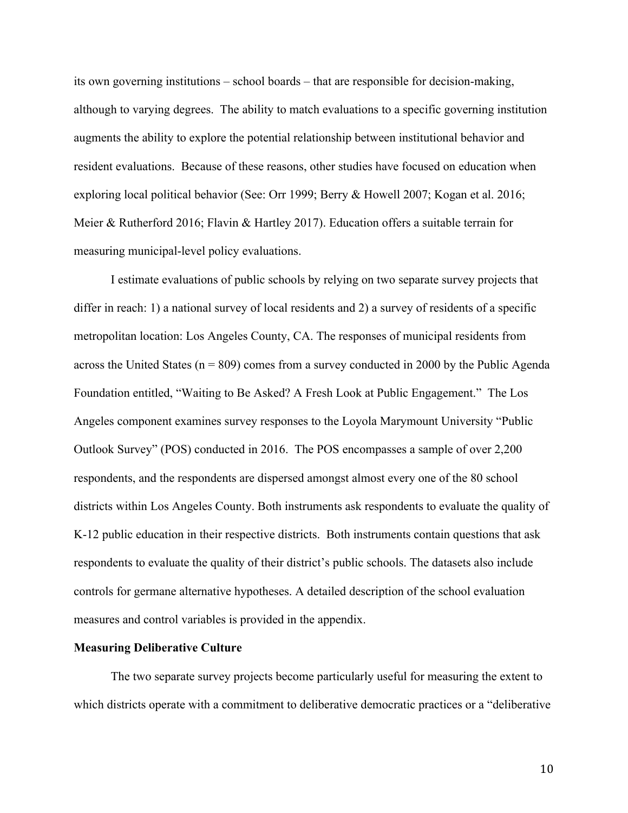its own governing institutions – school boards – that are responsible for decision-making, although to varying degrees. The ability to match evaluations to a specific governing institution augments the ability to explore the potential relationship between institutional behavior and resident evaluations. Because of these reasons, other studies have focused on education when exploring local political behavior (See: Orr 1999; Berry & Howell 2007; Kogan et al. 2016; Meier & Rutherford 2016; Flavin & Hartley 2017). Education offers a suitable terrain for measuring municipal-level policy evaluations.

I estimate evaluations of public schools by relying on two separate survey projects that differ in reach: 1) a national survey of local residents and 2) a survey of residents of a specific metropolitan location: Los Angeles County, CA. The responses of municipal residents from across the United States ( $n = 809$ ) comes from a survey conducted in 2000 by the Public Agenda Foundation entitled, "Waiting to Be Asked? A Fresh Look at Public Engagement." The Los Angeles component examines survey responses to the Loyola Marymount University "Public Outlook Survey" (POS) conducted in 2016. The POS encompasses a sample of over 2,200 respondents, and the respondents are dispersed amongst almost every one of the 80 school districts within Los Angeles County. Both instruments ask respondents to evaluate the quality of K-12 public education in their respective districts. Both instruments contain questions that ask respondents to evaluate the quality of their district's public schools. The datasets also include controls for germane alternative hypotheses. A detailed description of the school evaluation measures and control variables is provided in the appendix.

## **Measuring Deliberative Culture**

The two separate survey projects become particularly useful for measuring the extent to which districts operate with a commitment to deliberative democratic practices or a "deliberative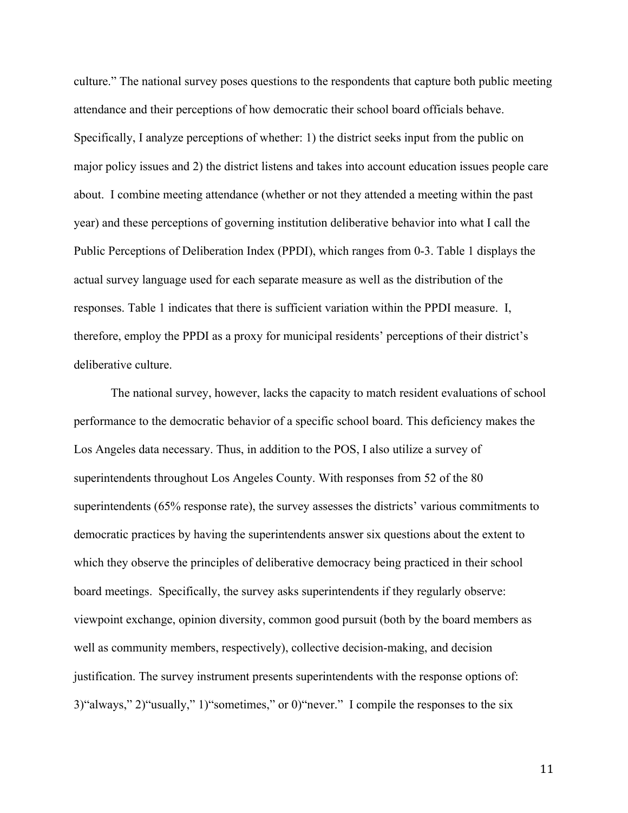culture." The national survey poses questions to the respondents that capture both public meeting attendance and their perceptions of how democratic their school board officials behave. Specifically, I analyze perceptions of whether: 1) the district seeks input from the public on major policy issues and 2) the district listens and takes into account education issues people care about. I combine meeting attendance (whether or not they attended a meeting within the past year) and these perceptions of governing institution deliberative behavior into what I call the Public Perceptions of Deliberation Index (PPDI), which ranges from 0-3. Table 1 displays the actual survey language used for each separate measure as well as the distribution of the responses. Table 1 indicates that there is sufficient variation within the PPDI measure. I, therefore, employ the PPDI as a proxy for municipal residents' perceptions of their district's deliberative culture.

The national survey, however, lacks the capacity to match resident evaluations of school performance to the democratic behavior of a specific school board. This deficiency makes the Los Angeles data necessary. Thus, in addition to the POS, I also utilize a survey of superintendents throughout Los Angeles County. With responses from 52 of the 80 superintendents (65% response rate), the survey assesses the districts' various commitments to democratic practices by having the superintendents answer six questions about the extent to which they observe the principles of deliberative democracy being practiced in their school board meetings. Specifically, the survey asks superintendents if they regularly observe: viewpoint exchange, opinion diversity, common good pursuit (both by the board members as well as community members, respectively), collective decision-making, and decision justification. The survey instrument presents superintendents with the response options of: 3)"always," 2)"usually," 1)"sometimes," or 0)"never." I compile the responses to the six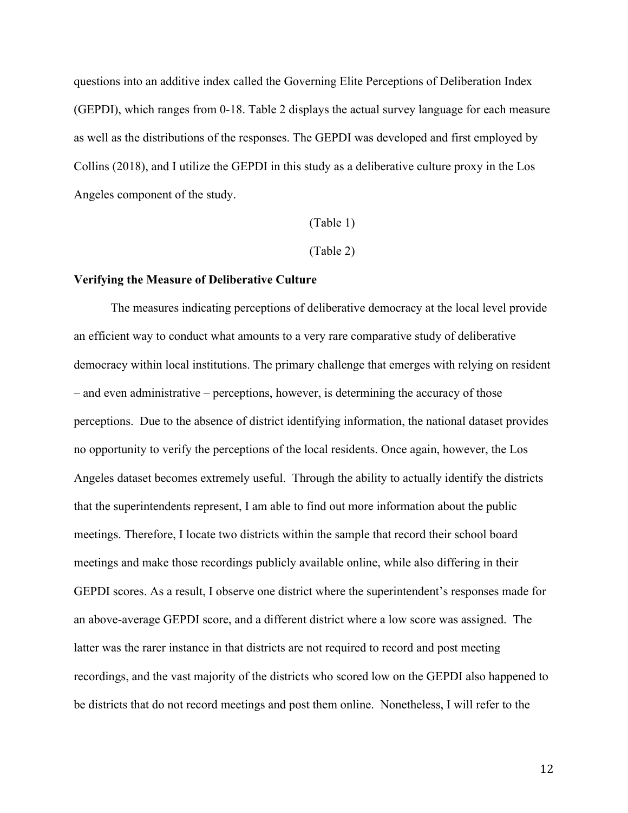questions into an additive index called the Governing Elite Perceptions of Deliberation Index (GEPDI), which ranges from 0-18. Table 2 displays the actual survey language for each measure as well as the distributions of the responses. The GEPDI was developed and first employed by Collins (2018), and I utilize the GEPDI in this study as a deliberative culture proxy in the Los Angeles component of the study.

(Table 1)

(Table 2)

#### **Verifying the Measure of Deliberative Culture**

The measures indicating perceptions of deliberative democracy at the local level provide an efficient way to conduct what amounts to a very rare comparative study of deliberative democracy within local institutions. The primary challenge that emerges with relying on resident – and even administrative – perceptions, however, is determining the accuracy of those perceptions. Due to the absence of district identifying information, the national dataset provides no opportunity to verify the perceptions of the local residents. Once again, however, the Los Angeles dataset becomes extremely useful. Through the ability to actually identify the districts that the superintendents represent, I am able to find out more information about the public meetings. Therefore, I locate two districts within the sample that record their school board meetings and make those recordings publicly available online, while also differing in their GEPDI scores. As a result, I observe one district where the superintendent's responses made for an above-average GEPDI score, and a different district where a low score was assigned. The latter was the rarer instance in that districts are not required to record and post meeting recordings, and the vast majority of the districts who scored low on the GEPDI also happened to be districts that do not record meetings and post them online. Nonetheless, I will refer to the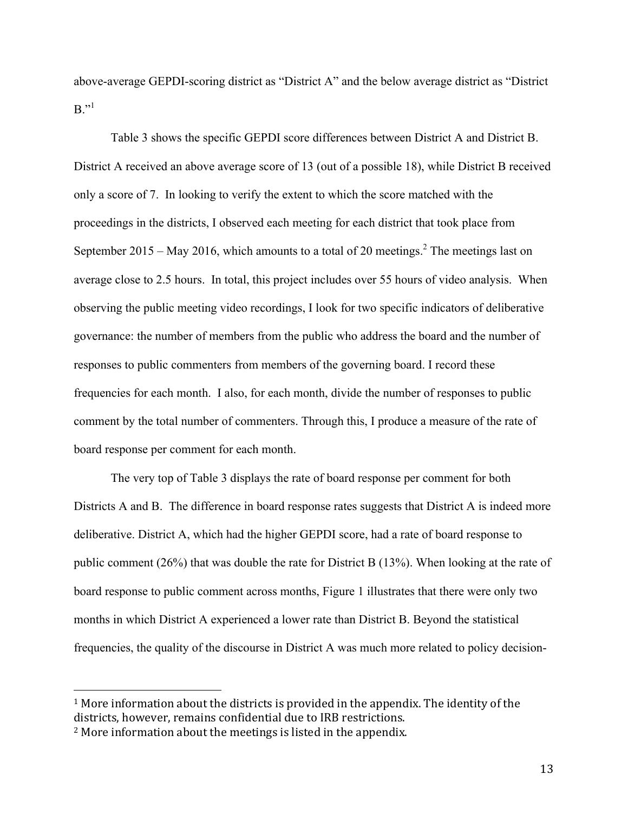above-average GEPDI-scoring district as "District A" and the below average district as "District  $B$ <sup>"1</sup>

Table 3 shows the specific GEPDI score differences between District A and District B. District A received an above average score of 13 (out of a possible 18), while District B received only a score of 7. In looking to verify the extent to which the score matched with the proceedings in the districts, I observed each meeting for each district that took place from September 2015 – May 2016, which amounts to a total of 20 meetings.<sup>2</sup> The meetings last on average close to 2.5 hours. In total, this project includes over 55 hours of video analysis. When observing the public meeting video recordings, I look for two specific indicators of deliberative governance: the number of members from the public who address the board and the number of responses to public commenters from members of the governing board. I record these frequencies for each month. I also, for each month, divide the number of responses to public comment by the total number of commenters. Through this, I produce a measure of the rate of board response per comment for each month.

The very top of Table 3 displays the rate of board response per comment for both Districts A and B. The difference in board response rates suggests that District A is indeed more deliberative. District A, which had the higher GEPDI score, had a rate of board response to public comment (26%) that was double the rate for District B (13%). When looking at the rate of board response to public comment across months, Figure 1 illustrates that there were only two months in which District A experienced a lower rate than District B. Beyond the statistical frequencies, the quality of the discourse in District A was much more related to policy decision-

<sup>&</sup>lt;sup>1</sup> More information about the districts is provided in the appendix. The identity of the districts, however, remains confidential due to IRB restrictions.

 $2$  More information about the meetings is listed in the appendix.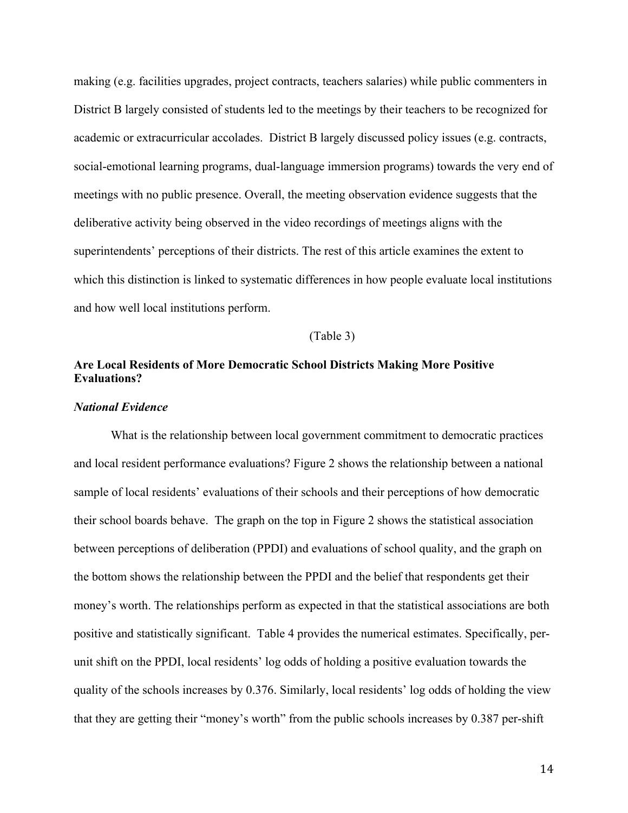making (e.g. facilities upgrades, project contracts, teachers salaries) while public commenters in District B largely consisted of students led to the meetings by their teachers to be recognized for academic or extracurricular accolades. District B largely discussed policy issues (e.g. contracts, social-emotional learning programs, dual-language immersion programs) towards the very end of meetings with no public presence. Overall, the meeting observation evidence suggests that the deliberative activity being observed in the video recordings of meetings aligns with the superintendents' perceptions of their districts. The rest of this article examines the extent to which this distinction is linked to systematic differences in how people evaluate local institutions and how well local institutions perform.

#### (Table 3)

## **Are Local Residents of More Democratic School Districts Making More Positive Evaluations?**

## *National Evidence*

What is the relationship between local government commitment to democratic practices and local resident performance evaluations? Figure 2 shows the relationship between a national sample of local residents' evaluations of their schools and their perceptions of how democratic their school boards behave. The graph on the top in Figure 2 shows the statistical association between perceptions of deliberation (PPDI) and evaluations of school quality, and the graph on the bottom shows the relationship between the PPDI and the belief that respondents get their money's worth. The relationships perform as expected in that the statistical associations are both positive and statistically significant. Table 4 provides the numerical estimates. Specifically, perunit shift on the PPDI, local residents' log odds of holding a positive evaluation towards the quality of the schools increases by 0.376. Similarly, local residents' log odds of holding the view that they are getting their "money's worth" from the public schools increases by 0.387 per-shift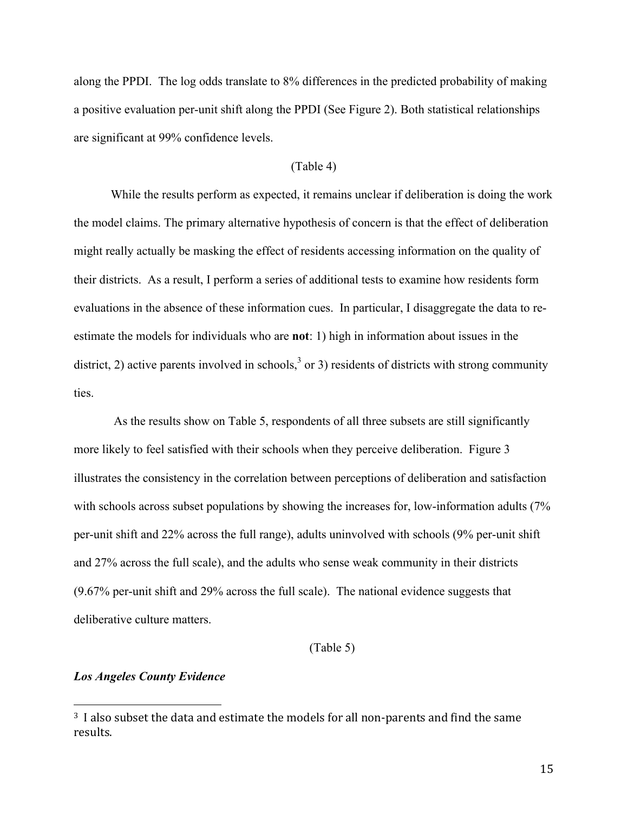along the PPDI. The log odds translate to 8% differences in the predicted probability of making a positive evaluation per-unit shift along the PPDI (See Figure 2). Both statistical relationships are significant at 99% confidence levels.

## (Table 4)

While the results perform as expected, it remains unclear if deliberation is doing the work the model claims. The primary alternative hypothesis of concern is that the effect of deliberation might really actually be masking the effect of residents accessing information on the quality of their districts. As a result, I perform a series of additional tests to examine how residents form evaluations in the absence of these information cues. In particular, I disaggregate the data to reestimate the models for individuals who are **not**: 1) high in information about issues in the district, 2) active parents involved in schools,<sup>3</sup> or 3) residents of districts with strong community ties.

As the results show on Table 5, respondents of all three subsets are still significantly more likely to feel satisfied with their schools when they perceive deliberation. Figure 3 illustrates the consistency in the correlation between perceptions of deliberation and satisfaction with schools across subset populations by showing the increases for, low-information adults (7%) per-unit shift and 22% across the full range), adults uninvolved with schools (9% per-unit shift and 27% across the full scale), and the adults who sense weak community in their districts (9.67% per-unit shift and 29% across the full scale). The national evidence suggests that deliberative culture matters.

## (Table 5)

#### *Los Angeles County Evidence*

<sup>&</sup>lt;sup>3</sup> I also subset the data and estimate the models for all non-parents and find the same results.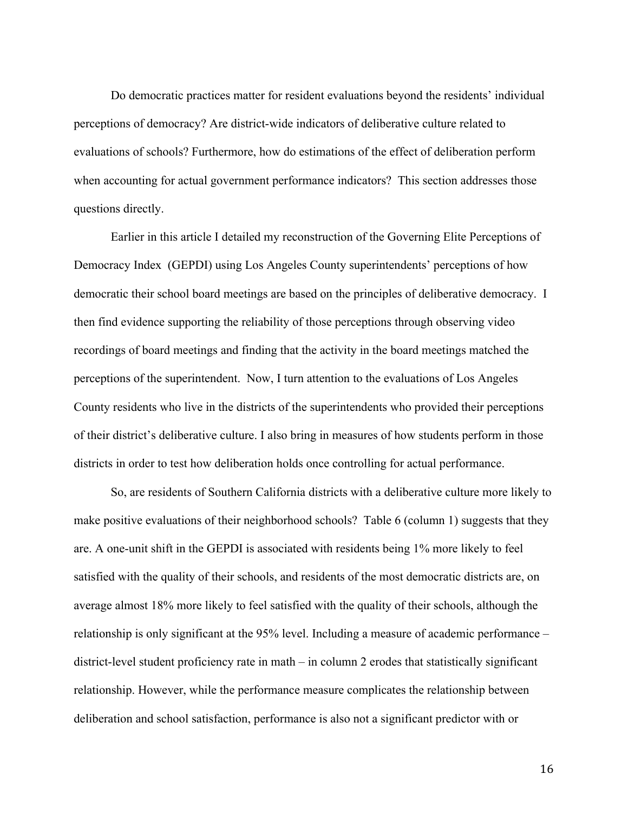Do democratic practices matter for resident evaluations beyond the residents' individual perceptions of democracy? Are district-wide indicators of deliberative culture related to evaluations of schools? Furthermore, how do estimations of the effect of deliberation perform when accounting for actual government performance indicators? This section addresses those questions directly.

Earlier in this article I detailed my reconstruction of the Governing Elite Perceptions of Democracy Index (GEPDI) using Los Angeles County superintendents' perceptions of how democratic their school board meetings are based on the principles of deliberative democracy. I then find evidence supporting the reliability of those perceptions through observing video recordings of board meetings and finding that the activity in the board meetings matched the perceptions of the superintendent. Now, I turn attention to the evaluations of Los Angeles County residents who live in the districts of the superintendents who provided their perceptions of their district's deliberative culture. I also bring in measures of how students perform in those districts in order to test how deliberation holds once controlling for actual performance.

So, are residents of Southern California districts with a deliberative culture more likely to make positive evaluations of their neighborhood schools? Table 6 (column 1) suggests that they are. A one-unit shift in the GEPDI is associated with residents being 1% more likely to feel satisfied with the quality of their schools, and residents of the most democratic districts are, on average almost 18% more likely to feel satisfied with the quality of their schools, although the relationship is only significant at the 95% level. Including a measure of academic performance – district-level student proficiency rate in math – in column 2 erodes that statistically significant relationship. However, while the performance measure complicates the relationship between deliberation and school satisfaction, performance is also not a significant predictor with or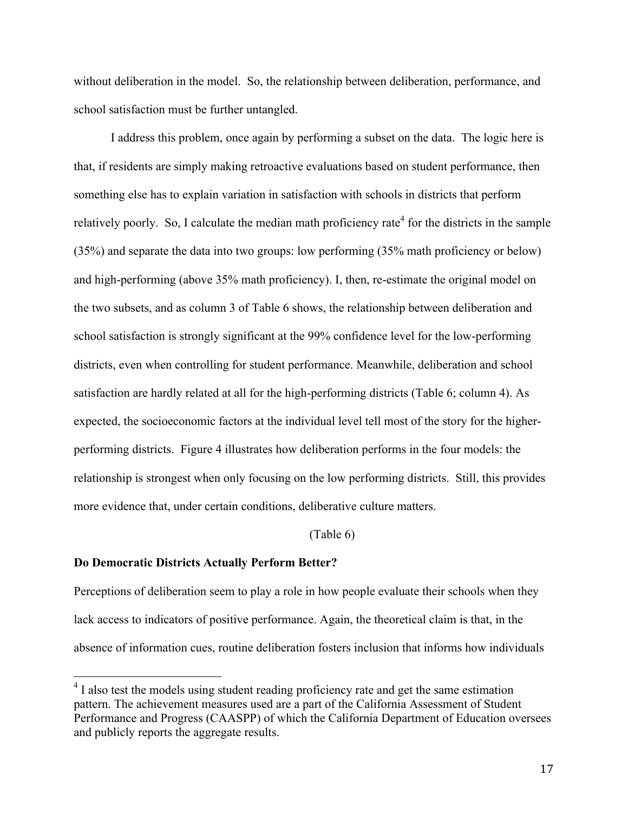without deliberation in the model. So, the relationship between deliberation, performance, and school satisfaction must be further untangled.

I address this problem, once again by performing a subset on the data. The logic here is that, if residents are simply making retroactive evaluations based on student performance, then something else has to explain variation in satisfaction with schools in districts that perform relatively poorly. So, I calculate the median math proficiency rate<sup>4</sup> for the districts in the sample (35%) and separate the data into two groups: low performing (35% math proficiency or below) and high-performing (above 35% math proficiency). I, then, re-estimate the original model on the two subsets, and as column 3 of Table 6 shows, the relationship between deliberation and school satisfaction is strongly significant at the 99% confidence level for the low-performing districts, even when controlling for student performance. Meanwhile, deliberation and school satisfaction are hardly related at all for the high-performing districts (Table 6; column 4). As expected, the socioeconomic factors at the individual level tell most of the story for the higherperforming districts. Figure 4 illustrates how deliberation performs in the four models: the relationship is strongest when only focusing on the low performing districts. Still, this provides more evidence that, under certain conditions, deliberative culture matters.

(Table 6)

## **Do Democratic Districts Actually Perform Better?**

Perceptions of deliberation seem to play a role in how people evaluate their schools when they lack access to indicators of positive performance. Again, the theoretical claim is that, in the absence of information cues, routine deliberation fosters inclusion that informs how individuals

<sup>&</sup>lt;sup>4</sup> I also test the models using student reading proficiency rate and get the same estimation pattern. The achievement measures used are a part of the California Assessment of Student Performance and Progress (CAASPP) of which the California Department of Education oversees and publicly reports the aggregate results.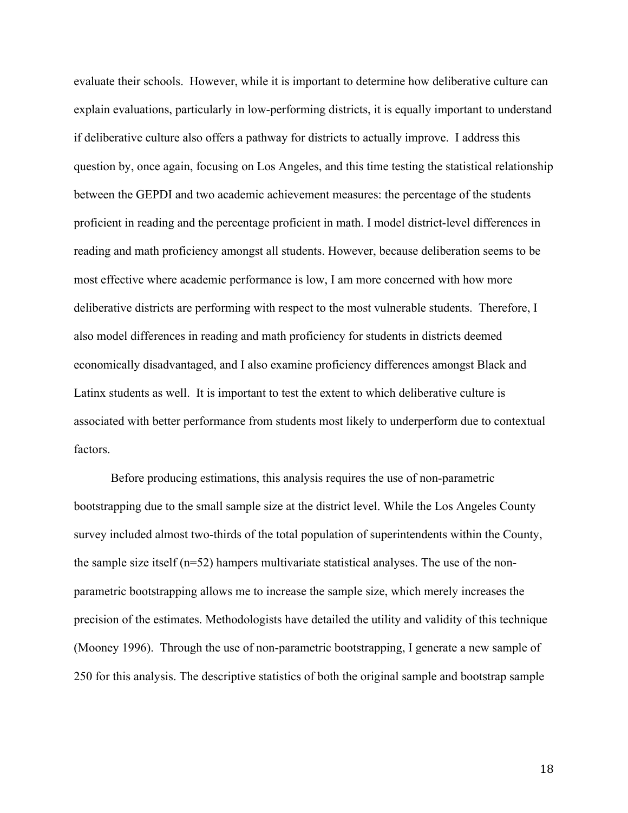evaluate their schools. However, while it is important to determine how deliberative culture can explain evaluations, particularly in low-performing districts, it is equally important to understand if deliberative culture also offers a pathway for districts to actually improve. I address this question by, once again, focusing on Los Angeles, and this time testing the statistical relationship between the GEPDI and two academic achievement measures: the percentage of the students proficient in reading and the percentage proficient in math. I model district-level differences in reading and math proficiency amongst all students. However, because deliberation seems to be most effective where academic performance is low, I am more concerned with how more deliberative districts are performing with respect to the most vulnerable students. Therefore, I also model differences in reading and math proficiency for students in districts deemed economically disadvantaged, and I also examine proficiency differences amongst Black and Latinx students as well. It is important to test the extent to which deliberative culture is associated with better performance from students most likely to underperform due to contextual factors.

Before producing estimations, this analysis requires the use of non-parametric bootstrapping due to the small sample size at the district level. While the Los Angeles County survey included almost two-thirds of the total population of superintendents within the County, the sample size itself (n=52) hampers multivariate statistical analyses. The use of the nonparametric bootstrapping allows me to increase the sample size, which merely increases the precision of the estimates. Methodologists have detailed the utility and validity of this technique (Mooney 1996). Through the use of non-parametric bootstrapping, I generate a new sample of 250 for this analysis. The descriptive statistics of both the original sample and bootstrap sample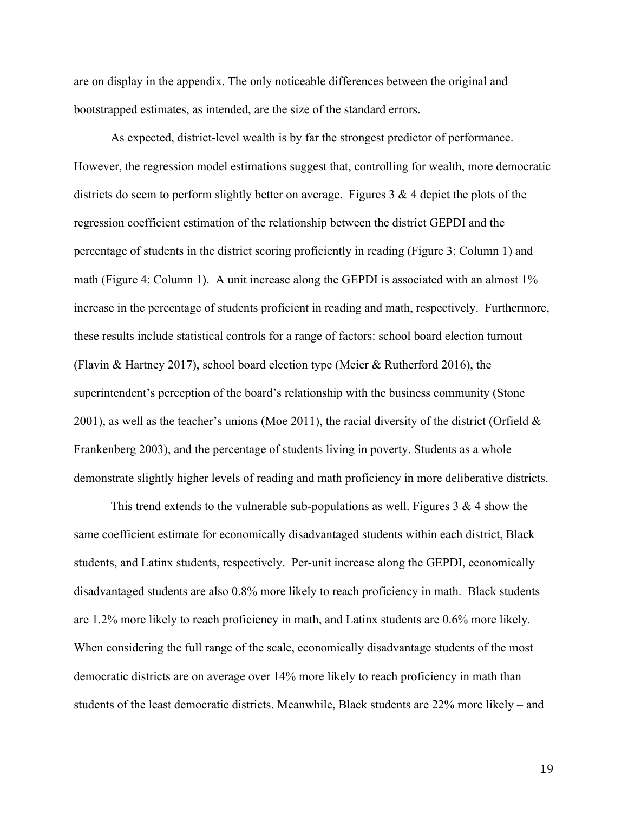are on display in the appendix. The only noticeable differences between the original and bootstrapped estimates, as intended, are the size of the standard errors.

As expected, district-level wealth is by far the strongest predictor of performance. However, the regression model estimations suggest that, controlling for wealth, more democratic districts do seem to perform slightly better on average. Figures  $3 \& 4$  depict the plots of the regression coefficient estimation of the relationship between the district GEPDI and the percentage of students in the district scoring proficiently in reading (Figure 3; Column 1) and math (Figure 4; Column 1). A unit increase along the GEPDI is associated with an almost 1% increase in the percentage of students proficient in reading and math, respectively. Furthermore, these results include statistical controls for a range of factors: school board election turnout (Flavin & Hartney 2017), school board election type (Meier & Rutherford 2016), the superintendent's perception of the board's relationship with the business community (Stone 2001), as well as the teacher's unions (Moe 2011), the racial diversity of the district (Orfield  $\&$ Frankenberg 2003), and the percentage of students living in poverty. Students as a whole demonstrate slightly higher levels of reading and math proficiency in more deliberative districts.

This trend extends to the vulnerable sub-populations as well. Figures  $3 \& 4$  show the same coefficient estimate for economically disadvantaged students within each district, Black students, and Latinx students, respectively. Per-unit increase along the GEPDI, economically disadvantaged students are also 0.8% more likely to reach proficiency in math. Black students are 1.2% more likely to reach proficiency in math, and Latinx students are 0.6% more likely. When considering the full range of the scale, economically disadvantage students of the most democratic districts are on average over 14% more likely to reach proficiency in math than students of the least democratic districts. Meanwhile, Black students are 22% more likely – and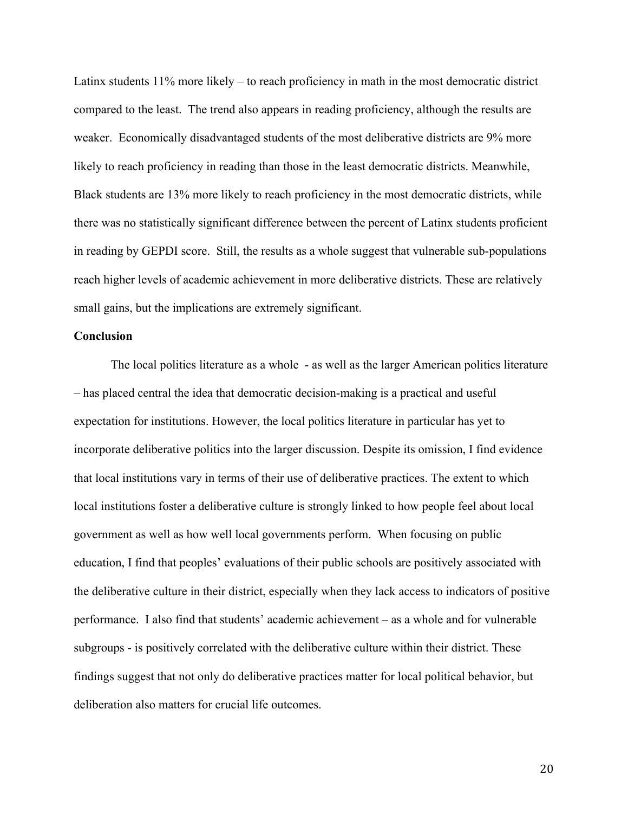Latinx students 11% more likely – to reach proficiency in math in the most democratic district compared to the least. The trend also appears in reading proficiency, although the results are weaker. Economically disadvantaged students of the most deliberative districts are 9% more likely to reach proficiency in reading than those in the least democratic districts. Meanwhile, Black students are 13% more likely to reach proficiency in the most democratic districts, while there was no statistically significant difference between the percent of Latinx students proficient in reading by GEPDI score. Still, the results as a whole suggest that vulnerable sub-populations reach higher levels of academic achievement in more deliberative districts. These are relatively small gains, but the implications are extremely significant.

## **Conclusion**

The local politics literature as a whole - as well as the larger American politics literature – has placed central the idea that democratic decision-making is a practical and useful expectation for institutions. However, the local politics literature in particular has yet to incorporate deliberative politics into the larger discussion. Despite its omission, I find evidence that local institutions vary in terms of their use of deliberative practices. The extent to which local institutions foster a deliberative culture is strongly linked to how people feel about local government as well as how well local governments perform. When focusing on public education, I find that peoples' evaluations of their public schools are positively associated with the deliberative culture in their district, especially when they lack access to indicators of positive performance. I also find that students' academic achievement – as a whole and for vulnerable subgroups - is positively correlated with the deliberative culture within their district. These findings suggest that not only do deliberative practices matter for local political behavior, but deliberation also matters for crucial life outcomes.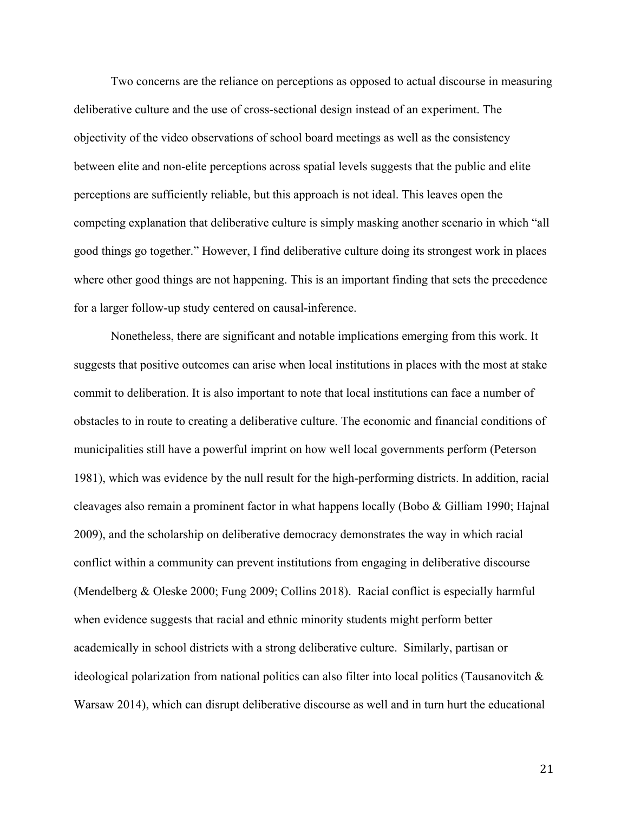Two concerns are the reliance on perceptions as opposed to actual discourse in measuring deliberative culture and the use of cross-sectional design instead of an experiment. The objectivity of the video observations of school board meetings as well as the consistency between elite and non-elite perceptions across spatial levels suggests that the public and elite perceptions are sufficiently reliable, but this approach is not ideal. This leaves open the competing explanation that deliberative culture is simply masking another scenario in which "all good things go together." However, I find deliberative culture doing its strongest work in places where other good things are not happening. This is an important finding that sets the precedence for a larger follow-up study centered on causal-inference.

Nonetheless, there are significant and notable implications emerging from this work. It suggests that positive outcomes can arise when local institutions in places with the most at stake commit to deliberation. It is also important to note that local institutions can face a number of obstacles to in route to creating a deliberative culture. The economic and financial conditions of municipalities still have a powerful imprint on how well local governments perform (Peterson 1981), which was evidence by the null result for the high-performing districts. In addition, racial cleavages also remain a prominent factor in what happens locally (Bobo & Gilliam 1990; Hajnal 2009), and the scholarship on deliberative democracy demonstrates the way in which racial conflict within a community can prevent institutions from engaging in deliberative discourse (Mendelberg & Oleske 2000; Fung 2009; Collins 2018). Racial conflict is especially harmful when evidence suggests that racial and ethnic minority students might perform better academically in school districts with a strong deliberative culture. Similarly, partisan or ideological polarization from national politics can also filter into local politics (Tausanovitch  $\&$ Warsaw 2014), which can disrupt deliberative discourse as well and in turn hurt the educational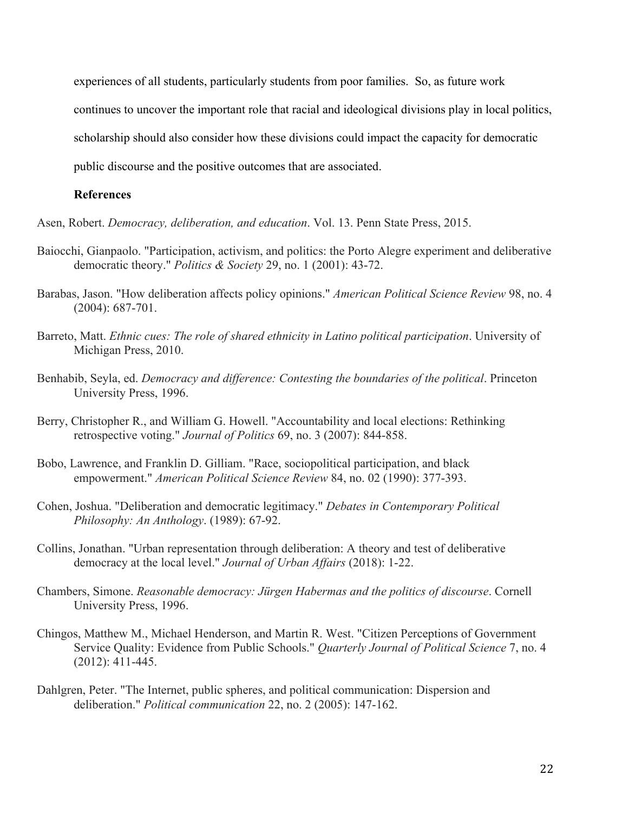experiences of all students, particularly students from poor families. So, as future work continues to uncover the important role that racial and ideological divisions play in local politics, scholarship should also consider how these divisions could impact the capacity for democratic public discourse and the positive outcomes that are associated.

## **References**

Asen, Robert. *Democracy, deliberation, and education*. Vol. 13. Penn State Press, 2015.

- Baiocchi, Gianpaolo. "Participation, activism, and politics: the Porto Alegre experiment and deliberative democratic theory." *Politics & Society* 29, no. 1 (2001): 43-72.
- Barabas, Jason. "How deliberation affects policy opinions." *American Political Science Review* 98, no. 4 (2004): 687-701.
- Barreto, Matt. *Ethnic cues: The role of shared ethnicity in Latino political participation*. University of Michigan Press, 2010.
- Benhabib, Seyla, ed. *Democracy and difference: Contesting the boundaries of the political*. Princeton University Press, 1996.
- Berry, Christopher R., and William G. Howell. "Accountability and local elections: Rethinking retrospective voting." *Journal of Politics* 69, no. 3 (2007): 844-858.
- Bobo, Lawrence, and Franklin D. Gilliam. "Race, sociopolitical participation, and black empowerment." *American Political Science Review* 84, no. 02 (1990): 377-393.
- Cohen, Joshua. "Deliberation and democratic legitimacy." *Debates in Contemporary Political Philosophy: An Anthology*. (1989): 67-92.
- Collins, Jonathan. "Urban representation through deliberation: A theory and test of deliberative democracy at the local level." *Journal of Urban Affairs* (2018): 1-22.
- Chambers, Simone. *Reasonable democracy: Jürgen Habermas and the politics of discourse*. Cornell University Press, 1996.
- Chingos, Matthew M., Michael Henderson, and Martin R. West. "Citizen Perceptions of Government Service Quality: Evidence from Public Schools." *Quarterly Journal of Political Science* 7, no. 4 (2012): 411-445.
- Dahlgren, Peter. "The Internet, public spheres, and political communication: Dispersion and deliberation." *Political communication* 22, no. 2 (2005): 147-162.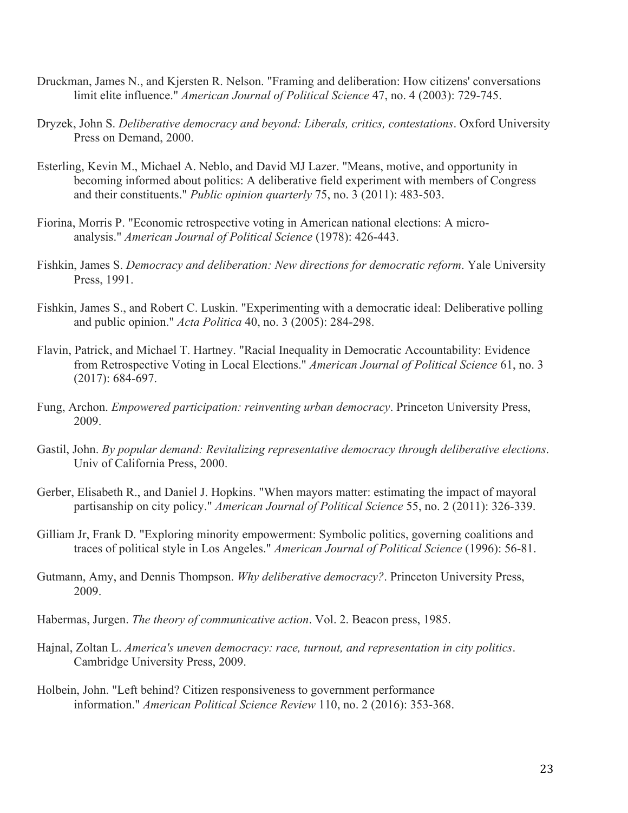- Druckman, James N., and Kjersten R. Nelson. "Framing and deliberation: How citizens' conversations limit elite influence." *American Journal of Political Science* 47, no. 4 (2003): 729-745.
- Dryzek, John S. *Deliberative democracy and beyond: Liberals, critics, contestations*. Oxford University Press on Demand, 2000.
- Esterling, Kevin M., Michael A. Neblo, and David MJ Lazer. "Means, motive, and opportunity in becoming informed about politics: A deliberative field experiment with members of Congress and their constituents." *Public opinion quarterly* 75, no. 3 (2011): 483-503.
- Fiorina, Morris P. "Economic retrospective voting in American national elections: A microanalysis." *American Journal of Political Science* (1978): 426-443.
- Fishkin, James S. *Democracy and deliberation: New directions for democratic reform*. Yale University Press, 1991.
- Fishkin, James S., and Robert C. Luskin. "Experimenting with a democratic ideal: Deliberative polling and public opinion." *Acta Politica* 40, no. 3 (2005): 284-298.
- Flavin, Patrick, and Michael T. Hartney. "Racial Inequality in Democratic Accountability: Evidence from Retrospective Voting in Local Elections." *American Journal of Political Science* 61, no. 3 (2017): 684-697.
- Fung, Archon. *Empowered participation: reinventing urban democracy*. Princeton University Press, 2009.
- Gastil, John. *By popular demand: Revitalizing representative democracy through deliberative elections*. Univ of California Press, 2000.
- Gerber, Elisabeth R., and Daniel J. Hopkins. "When mayors matter: estimating the impact of mayoral partisanship on city policy." *American Journal of Political Science* 55, no. 2 (2011): 326-339.
- Gilliam Jr, Frank D. "Exploring minority empowerment: Symbolic politics, governing coalitions and traces of political style in Los Angeles." *American Journal of Political Science* (1996): 56-81.
- Gutmann, Amy, and Dennis Thompson. *Why deliberative democracy?*. Princeton University Press, 2009.
- Habermas, Jurgen. *The theory of communicative action*. Vol. 2. Beacon press, 1985.
- Hajnal, Zoltan L. *America's uneven democracy: race, turnout, and representation in city politics*. Cambridge University Press, 2009.
- Holbein, John. "Left behind? Citizen responsiveness to government performance information." *American Political Science Review* 110, no. 2 (2016): 353-368.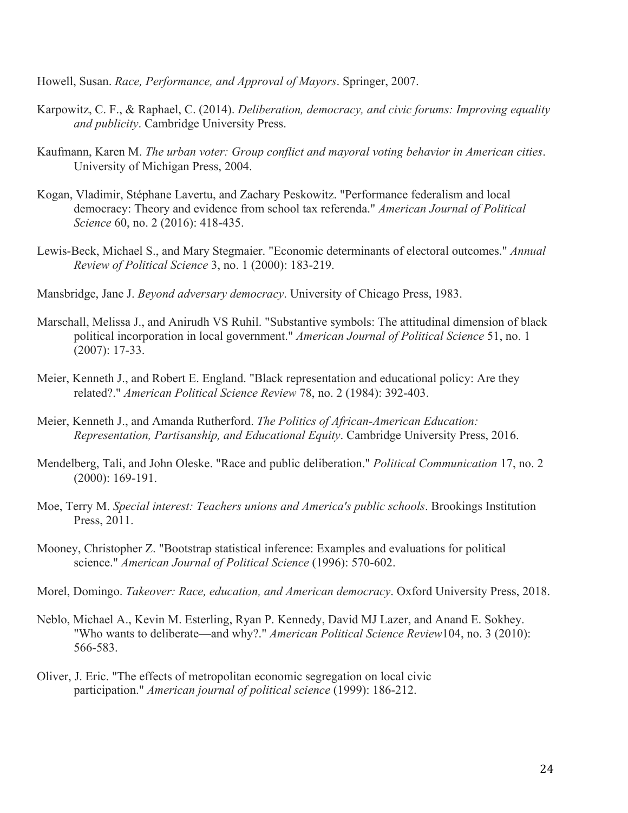Howell, Susan. *Race, Performance, and Approval of Mayors*. Springer, 2007.

- Karpowitz, C. F., & Raphael, C. (2014). *Deliberation, democracy, and civic forums: Improving equality and publicity*. Cambridge University Press.
- Kaufmann, Karen M. *The urban voter: Group conflict and mayoral voting behavior in American cities*. University of Michigan Press, 2004.
- Kogan, Vladimir, Stéphane Lavertu, and Zachary Peskowitz. "Performance federalism and local democracy: Theory and evidence from school tax referenda." *American Journal of Political Science* 60, no. 2 (2016): 418-435.
- Lewis-Beck, Michael S., and Mary Stegmaier. "Economic determinants of electoral outcomes." *Annual Review of Political Science* 3, no. 1 (2000): 183-219.
- Mansbridge, Jane J. *Beyond adversary democracy*. University of Chicago Press, 1983.
- Marschall, Melissa J., and Anirudh VS Ruhil. "Substantive symbols: The attitudinal dimension of black political incorporation in local government." *American Journal of Political Science* 51, no. 1 (2007): 17-33.
- Meier, Kenneth J., and Robert E. England. "Black representation and educational policy: Are they related?." *American Political Science Review* 78, no. 2 (1984): 392-403.
- Meier, Kenneth J., and Amanda Rutherford. *The Politics of African-American Education: Representation, Partisanship, and Educational Equity*. Cambridge University Press, 2016.
- Mendelberg, Tali, and John Oleske. "Race and public deliberation." *Political Communication* 17, no. 2 (2000): 169-191.
- Moe, Terry M. *Special interest: Teachers unions and America's public schools*. Brookings Institution Press, 2011.
- Mooney, Christopher Z. "Bootstrap statistical inference: Examples and evaluations for political science." *American Journal of Political Science* (1996): 570-602.
- Morel, Domingo. *Takeover: Race, education, and American democracy*. Oxford University Press, 2018.
- Neblo, Michael A., Kevin M. Esterling, Ryan P. Kennedy, David MJ Lazer, and Anand E. Sokhey. "Who wants to deliberate—and why?." *American Political Science Review*104, no. 3 (2010): 566-583.
- Oliver, J. Eric. "The effects of metropolitan economic segregation on local civic participation." *American journal of political science* (1999): 186-212.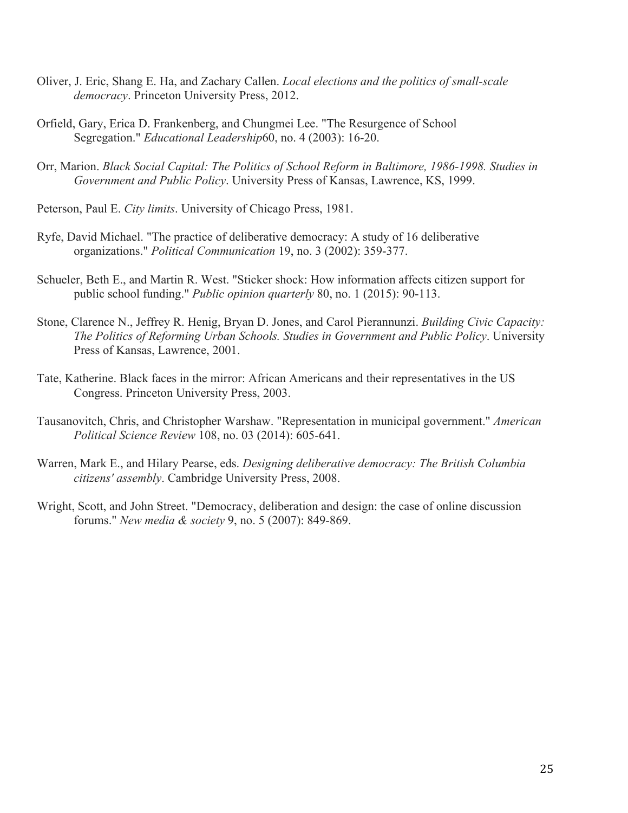- Oliver, J. Eric, Shang E. Ha, and Zachary Callen. *Local elections and the politics of small-scale democracy*. Princeton University Press, 2012.
- Orfield, Gary, Erica D. Frankenberg, and Chungmei Lee. "The Resurgence of School Segregation." *Educational Leadership*60, no. 4 (2003): 16-20.
- Orr, Marion. *Black Social Capital: The Politics of School Reform in Baltimore, 1986-1998. Studies in Government and Public Policy*. University Press of Kansas, Lawrence, KS, 1999.
- Peterson, Paul E. *City limits*. University of Chicago Press, 1981.
- Ryfe, David Michael. "The practice of deliberative democracy: A study of 16 deliberative organizations." *Political Communication* 19, no. 3 (2002): 359-377.
- Schueler, Beth E., and Martin R. West. "Sticker shock: How information affects citizen support for public school funding." *Public opinion quarterly* 80, no. 1 (2015): 90-113.
- Stone, Clarence N., Jeffrey R. Henig, Bryan D. Jones, and Carol Pierannunzi. *Building Civic Capacity: The Politics of Reforming Urban Schools. Studies in Government and Public Policy*. University Press of Kansas, Lawrence, 2001.
- Tate, Katherine. Black faces in the mirror: African Americans and their representatives in the US Congress. Princeton University Press, 2003.
- Tausanovitch, Chris, and Christopher Warshaw. "Representation in municipal government." *American Political Science Review* 108, no. 03 (2014): 605-641.
- Warren, Mark E., and Hilary Pearse, eds. *Designing deliberative democracy: The British Columbia citizens' assembly*. Cambridge University Press, 2008.
- Wright, Scott, and John Street. "Democracy, deliberation and design: the case of online discussion forums." *New media & society* 9, no. 5 (2007): 849-869.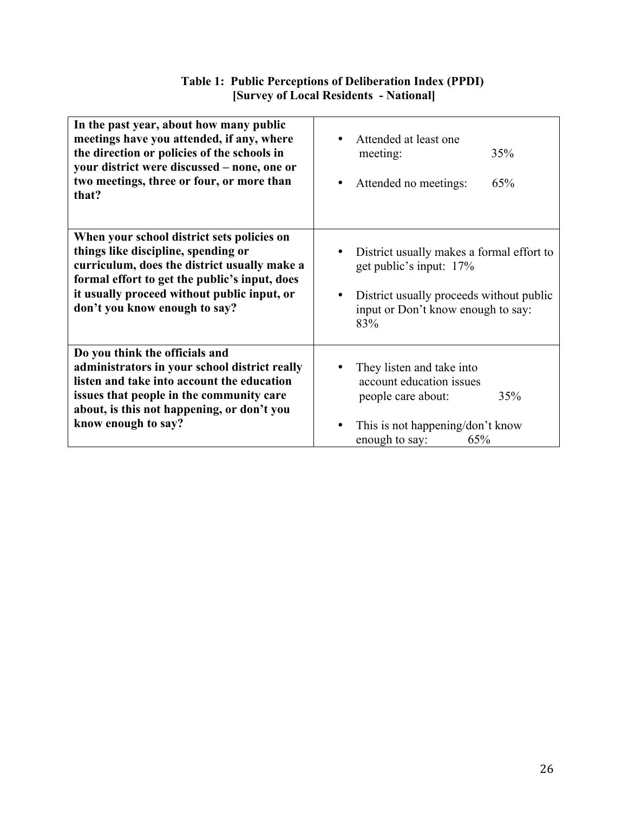## **Table 1: Public Perceptions of Deliberation Index (PPDI) [Survey of Local Residents - National]**

| In the past year, about how many public<br>meetings have you attended, if any, where<br>the direction or policies of the schools in<br>your district were discussed – none, one or<br>two meetings, three or four, or more than<br>that?                           | Attended at least one<br>35%<br>meeting:<br>65%<br>Attended no meetings:                                                                                                                |
|--------------------------------------------------------------------------------------------------------------------------------------------------------------------------------------------------------------------------------------------------------------------|-----------------------------------------------------------------------------------------------------------------------------------------------------------------------------------------|
| When your school district sets policies on<br>things like discipline, spending or<br>curriculum, does the district usually make a<br>formal effort to get the public's input, does<br>it usually proceed without public input, or<br>don't you know enough to say? | District usually makes a formal effort to<br>$\bullet$<br>get public's input: 17%<br>District usually proceeds without public<br>$\bullet$<br>input or Don't know enough to say:<br>83% |
| Do you think the officials and<br>administrators in your school district really<br>listen and take into account the education<br>issues that people in the community care<br>about, is this not happening, or don't you<br>know enough to say?                     | They listen and take into<br>account education issues<br>35%<br>people care about:<br>This is not happening/don't know<br>$\bullet$<br>enough to say:<br>65%                            |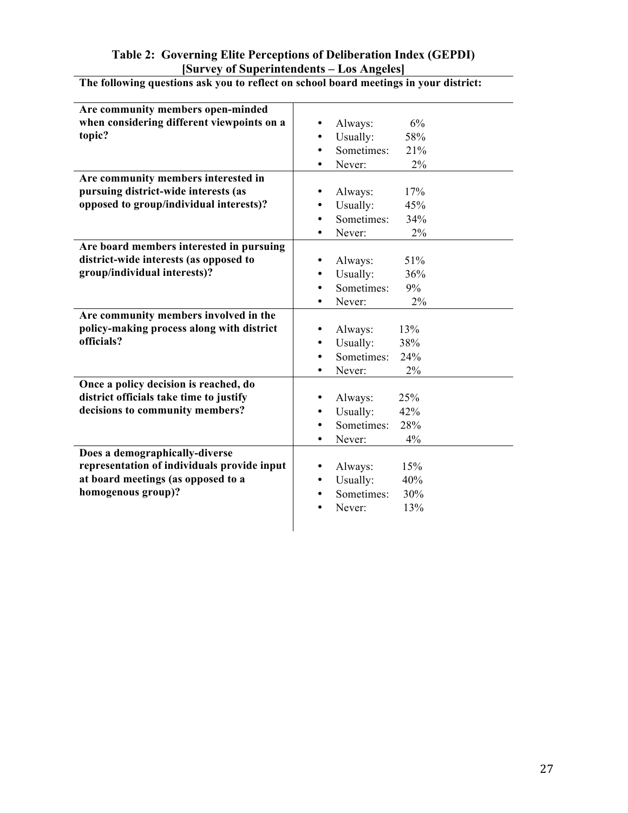# **Table 2: Governing Elite Perceptions of Deliberation Index (GEPDI) [Survey of Superintendents – Los Angeles]**

**Are community members open-minded when considering different viewpoints on a topic?** • Always:  $6\%$ <br>• Usually:  $58\%$ • Usually: • Sometimes: 21% • Never: 2% **Are community members interested in pursuing district-wide interests (as opposed to group/individual interests)?** • Always:  $17%$ • Usually: 45% • Sometimes: 34% • Never:  $2\%$ **Are board members interested in pursuing district-wide interests (as opposed to group/individual interests)?** • Always:  $51\%$ • Usually:  $36\%$ • Sometimes:  $9\%$ • Never:  $2\%$ **Are community members involved in the policy-making process along with district officials?** • Always:  $13\%$ • Usually: 38% • Sometimes: 24% • Never:  $2\%$ **Once a policy decision is reached, do district officials take time to justify decisions to community members?** • Always:  $25%$ • Usually:  $42\%$ • Sometimes: 28% • Never:  $4\%$ **Does a demographically-diverse representation of individuals provide input at board meetings (as opposed to a homogenous group)?** • Always:  $15%$ Usually:  $40\%$ • Sometimes: 30% • Never:  $13\%$ 

**The following questions ask you to reflect on school board meetings in your district:**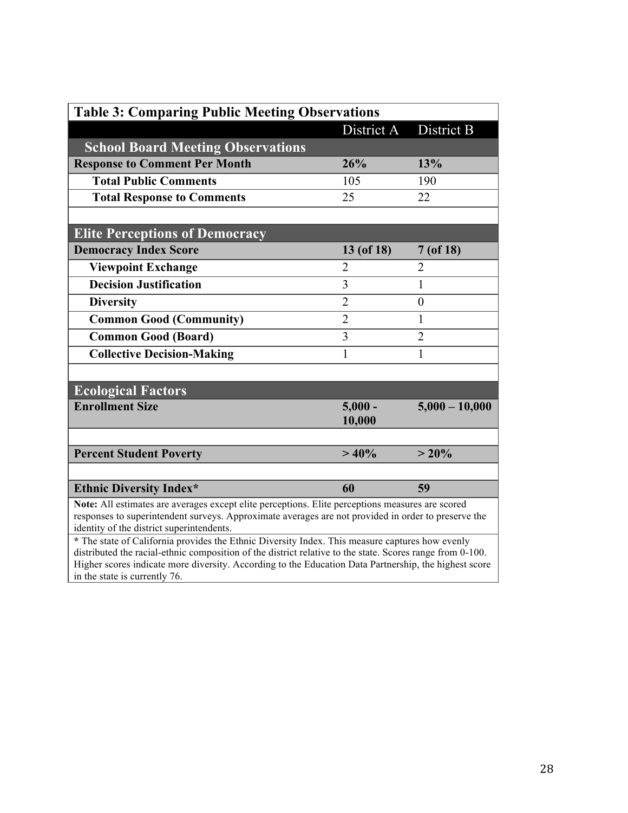| <b>Table 3: Comparing Public Meeting Observations</b>                                                                                                                                                                                                                                                                                                  |                     |                  |  |  |  |  |
|--------------------------------------------------------------------------------------------------------------------------------------------------------------------------------------------------------------------------------------------------------------------------------------------------------------------------------------------------------|---------------------|------------------|--|--|--|--|
|                                                                                                                                                                                                                                                                                                                                                        | District A          | District B       |  |  |  |  |
| <b>School Board Meeting Observations</b>                                                                                                                                                                                                                                                                                                               |                     |                  |  |  |  |  |
| <b>Response to Comment Per Month</b>                                                                                                                                                                                                                                                                                                                   | 26%                 | 13%              |  |  |  |  |
| <b>Total Public Comments</b>                                                                                                                                                                                                                                                                                                                           | 105                 | 190              |  |  |  |  |
| <b>Total Response to Comments</b>                                                                                                                                                                                                                                                                                                                      | 25                  | 22               |  |  |  |  |
|                                                                                                                                                                                                                                                                                                                                                        |                     |                  |  |  |  |  |
| <b>Elite Perceptions of Democracy</b>                                                                                                                                                                                                                                                                                                                  |                     |                  |  |  |  |  |
| <b>Democracy Index Score</b>                                                                                                                                                                                                                                                                                                                           | 13 (of 18)          | $7($ of 18 $)$   |  |  |  |  |
| <b>Viewpoint Exchange</b>                                                                                                                                                                                                                                                                                                                              | 2                   | 2                |  |  |  |  |
| <b>Decision Justification</b>                                                                                                                                                                                                                                                                                                                          | $\overline{3}$      | 1                |  |  |  |  |
| <b>Diversity</b>                                                                                                                                                                                                                                                                                                                                       | $\overline{2}$      | $\boldsymbol{0}$ |  |  |  |  |
| <b>Common Good (Community)</b>                                                                                                                                                                                                                                                                                                                         | $\overline{2}$      | $\mathbf{1}$     |  |  |  |  |
| <b>Common Good (Board)</b>                                                                                                                                                                                                                                                                                                                             | $\overline{3}$      | $\overline{2}$   |  |  |  |  |
| <b>Collective Decision-Making</b>                                                                                                                                                                                                                                                                                                                      | $\mathbf{1}$        | $\mathbf{1}$     |  |  |  |  |
|                                                                                                                                                                                                                                                                                                                                                        |                     |                  |  |  |  |  |
| <b>Ecological Factors</b>                                                                                                                                                                                                                                                                                                                              |                     |                  |  |  |  |  |
| <b>Enrollment Size</b>                                                                                                                                                                                                                                                                                                                                 | $5,000 -$<br>10,000 | $5,000 - 10,000$ |  |  |  |  |
| <b>Percent Student Poverty</b>                                                                                                                                                                                                                                                                                                                         | >40%                | $> 20\%$         |  |  |  |  |
| <b>Ethnic Diversity Index*</b>                                                                                                                                                                                                                                                                                                                         | 60                  | 59               |  |  |  |  |
| Note: All estimates are averages except elite perceptions. Elite perceptions measures are scored<br>responses to superintendent surveys. Approximate averages are not provided in order to preserve the<br>identity of the district superintendents.                                                                                                   |                     |                  |  |  |  |  |
| * The state of California provides the Ethnic Diversity Index. This measure captures how evenly<br>distributed the racial-ethnic composition of the district relative to the state. Scores range from 0-100.<br>Higher scores indicate more diversity. According to the Education Data Partnership, the highest score<br>in the state is currently 76. |                     |                  |  |  |  |  |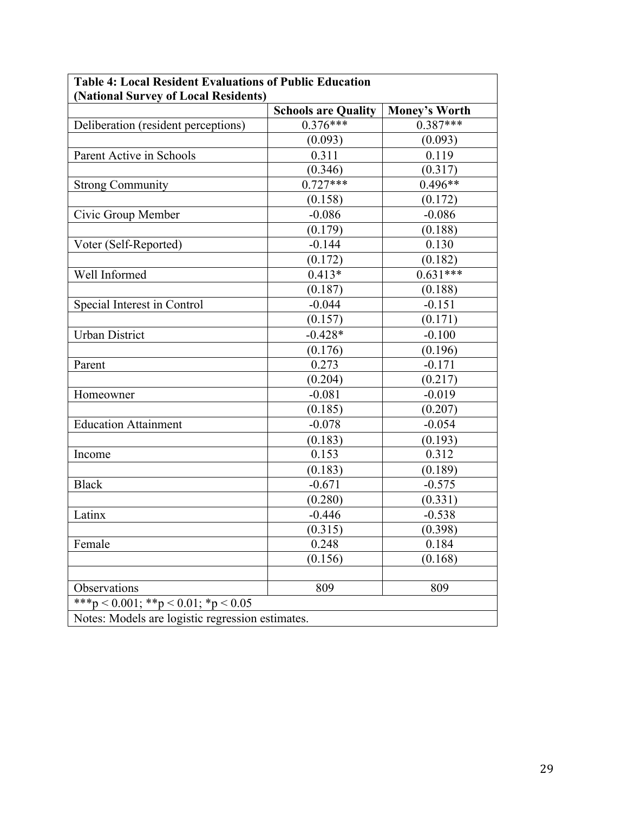|                                     | <b>Schools are Quality</b> | <b>Money's Worth</b> |
|-------------------------------------|----------------------------|----------------------|
| Deliberation (resident perceptions) | $0.376***$                 | $0.387***$           |
|                                     | (0.093)                    | (0.093)              |
| Parent Active in Schools            | 0.311                      | 0.119                |
|                                     | (0.346)                    | (0.317)              |
| <b>Strong Community</b>             | $0.727***$                 | $0.496**$            |
|                                     | (0.158)                    | (0.172)              |
| Civic Group Member                  | $-0.086$                   | $-0.086$             |
|                                     | (0.179)                    | (0.188)              |
| Voter (Self-Reported)               | $-0.144$                   | 0.130                |
|                                     | (0.172)                    | (0.182)              |
| Well Informed                       | $0.413*$                   | $0.631***$           |
|                                     | (0.187)                    | (0.188)              |
| Special Interest in Control         | $-0.044$                   | $-0.151$             |
|                                     | (0.157)                    | (0.171)              |
| <b>Urban District</b>               | $-0.428*$                  | $-0.100$             |
|                                     | (0.176)                    | (0.196)              |
| Parent                              | 0.273                      | $-0.171$             |
|                                     | (0.204)                    | (0.217)              |
| Homeowner                           | $-0.081$                   | $-0.019$             |
|                                     | (0.185)                    | (0.207)              |
| <b>Education Attainment</b>         | $-0.078$                   | $-0.054$             |
|                                     | (0.183)                    | (0.193)              |
| Income                              | 0.153                      | 0.312                |
|                                     | (0.183)                    | (0.189)              |
| <b>Black</b>                        | $-0.671$                   | $-0.575$             |
|                                     | (0.280)                    | (0.331)              |
| Latinx                              | $-0.446$                   | $-0.538$             |
|                                     | (0.315)                    | (0.398)              |
| Female                              | 0.248                      | 0.184                |
|                                     | (0.156)                    | (0.168)              |
| Observations                        | 809                        | 809                  |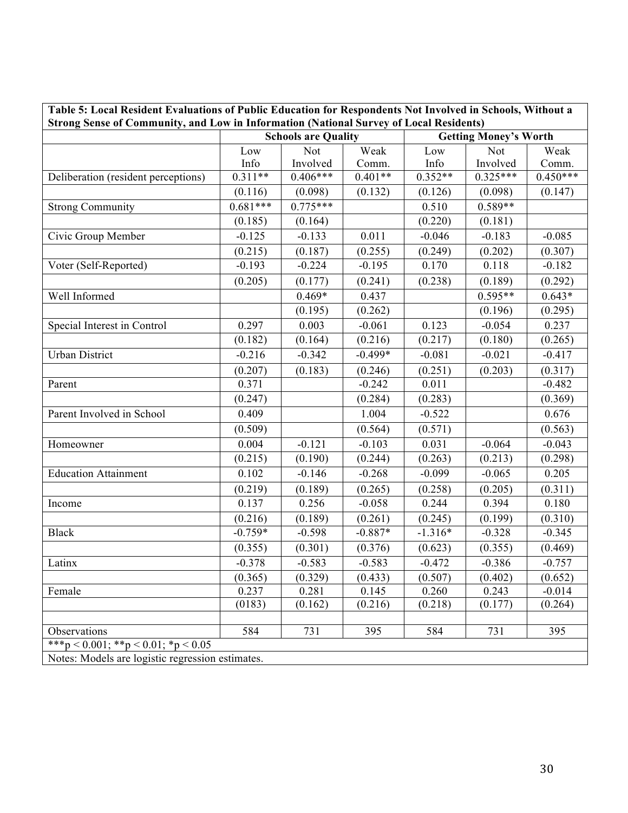| Table 5: Local Resident Evaluations of Public Education for Respondents Not Involved in Schools, Without a |            |                            |           |                              |            |            |
|------------------------------------------------------------------------------------------------------------|------------|----------------------------|-----------|------------------------------|------------|------------|
| <b>Strong Sense of Community, and Low in Information (National Survey of Local Residents)</b>              |            |                            |           |                              |            |            |
|                                                                                                            |            | <b>Schools are Quality</b> |           | <b>Getting Money's Worth</b> |            |            |
|                                                                                                            | Low        | <b>Not</b>                 | Weak      | Low                          | Not        | Weak       |
|                                                                                                            | Info       | Involved                   | Comm.     | Info                         | Involved   | Comm.      |
| Deliberation (resident perceptions)                                                                        | $0.311**$  | $0.406***$                 | $0.401**$ | $\overline{0.352}$ **        | $0.325***$ | $0.450***$ |
|                                                                                                            | (0.116)    | (0.098)                    | (0.132)   | (0.126)                      | (0.098)    | (0.147)    |
| <b>Strong Community</b>                                                                                    | $0.681***$ | $0.775***$                 |           | 0.510                        | $0.589**$  |            |
|                                                                                                            | (0.185)    | (0.164)                    |           | (0.220)                      | (0.181)    |            |
| Civic Group Member                                                                                         | $-0.125$   | $-0.133$                   | 0.011     | $-0.046$                     | $-0.183$   | $-0.085$   |
|                                                                                                            | (0.215)    | (0.187)                    | (0.255)   | (0.249)                      | (0.202)    | (0.307)    |
| Voter (Self-Reported)                                                                                      | $-0.193$   | $-0.224$                   | $-0.195$  | 0.170                        | 0.118      | $-0.182$   |
|                                                                                                            | (0.205)    | (0.177)                    | (0.241)   | (0.238)                      | (0.189)    | (0.292)    |
| Well Informed                                                                                              |            | $0.469*$                   | 0.437     |                              | $0.595**$  | $0.643*$   |
|                                                                                                            |            | (0.195)                    | (0.262)   |                              | (0.196)    | (0.295)    |
| Special Interest in Control                                                                                | 0.297      | 0.003                      | $-0.061$  | 0.123                        | $-0.054$   | 0.237      |
|                                                                                                            | (0.182)    | (0.164)                    | (0.216)   | (0.217)                      | (0.180)    | (0.265)    |
| <b>Urban District</b>                                                                                      | $-0.216$   | $-0.342$                   | $-0.499*$ | $-0.081$                     | $-0.021$   | $-0.417$   |
|                                                                                                            | (0.207)    | (0.183)                    | (0.246)   | (0.251)                      | (0.203)    | (0.317)    |
| Parent                                                                                                     | 0.371      |                            | $-0.242$  | 0.011                        |            | $-0.482$   |
|                                                                                                            | (0.247)    |                            | (0.284)   | (0.283)                      |            | (0.369)    |
| Parent Involved in School                                                                                  | 0.409      |                            | 1.004     | $-0.522$                     |            | 0.676      |
|                                                                                                            | (0.509)    |                            | (0.564)   | (0.571)                      |            | (0.563)    |
| Homeowner                                                                                                  | 0.004      | $-0.121$                   | $-0.103$  | 0.031                        | $-0.064$   | $-0.043$   |
|                                                                                                            | (0.215)    | (0.190)                    | (0.244)   | (0.263)                      | (0.213)    | (0.298)    |
| <b>Education Attainment</b>                                                                                | 0.102      | $-0.146$                   | $-0.268$  | $-0.099$                     | $-0.065$   | 0.205      |
|                                                                                                            | (0.219)    | (0.189)                    | (0.265)   | (0.258)                      | (0.205)    | (0.311)    |
| Income                                                                                                     | 0.137      | 0.256                      | $-0.058$  | 0.244                        | 0.394      | 0.180      |
|                                                                                                            | (0.216)    | (0.189)                    | (0.261)   | (0.245)                      | (0.199)    | (0.310)    |
| <b>Black</b>                                                                                               | $-0.759*$  | $-0.598$                   | $-0.887*$ | $-1.316*$                    | $-0.328$   | $-0.345$   |
|                                                                                                            | (0.355)    | (0.301)                    | (0.376)   | (0.623)                      | (0.355)    | (0.469)    |
| Latinx                                                                                                     | $-0.378$   | $-0.583$                   | $-0.583$  | $-0.472$                     | $-0.386$   | $-0.757$   |
|                                                                                                            | (0.365)    | (0.329)                    | (0.433)   | (0.507)                      | (0.402)    | (0.652)    |
| Female                                                                                                     | 0.237      | 0.281                      | 0.145     | 0.260                        | 0.243      | $-0.014$   |
|                                                                                                            | (0183)     | (0.162)                    | (0.216)   | (0.218)                      | (0.177)    | (0.264)    |
|                                                                                                            |            |                            |           |                              |            |            |
| Observations                                                                                               | 584        | 731                        | 395       | 584                          | 731        | 395        |
| ***p < 0.001; **p < 0.01; *p < 0.05                                                                        |            |                            |           |                              |            |            |
| Notes: Models are logistic regression estimates.                                                           |            |                            |           |                              |            |            |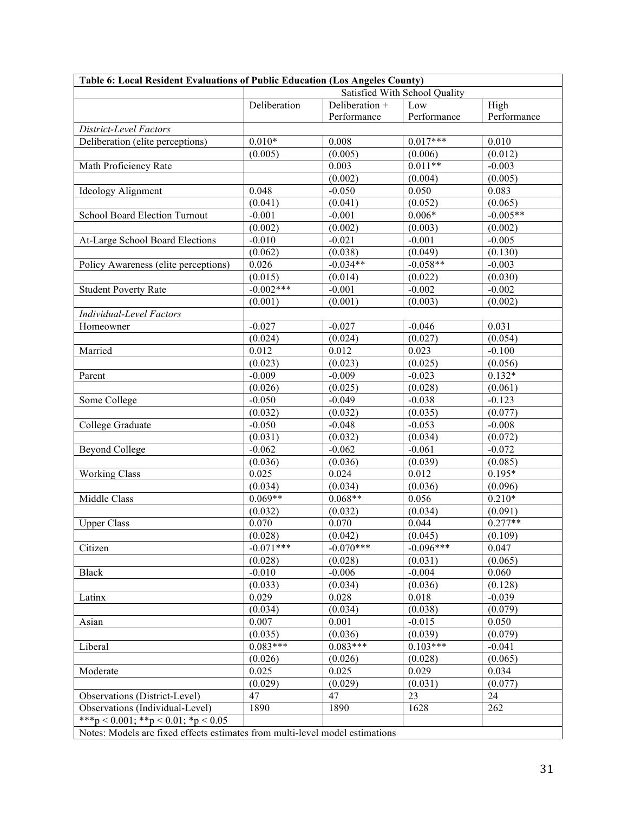| Table 6: Local Resident Evaluations of Public Education (Los Angeles County) |                      |                               |                  |                      |  |  |  |
|------------------------------------------------------------------------------|----------------------|-------------------------------|------------------|----------------------|--|--|--|
|                                                                              |                      | Satisfied With School Quality |                  |                      |  |  |  |
|                                                                              | Deliberation         | Deliberation +                | Low              | High                 |  |  |  |
|                                                                              |                      | Performance                   | Performance      | Performance          |  |  |  |
| District-Level Factors                                                       |                      |                               |                  |                      |  |  |  |
| Deliberation (elite perceptions)                                             | $0.010*$             | 0.008                         | $0.017***$       | 0.010                |  |  |  |
|                                                                              | (0.005)              | (0.005)                       | (0.006)          | (0.012)              |  |  |  |
| Math Proficiency Rate                                                        |                      | 0.003                         | $0.011**$        | $-0.003$             |  |  |  |
|                                                                              |                      | (0.002)                       | (0.004)          | (0.005)              |  |  |  |
| Ideology Alignment                                                           | 0.048                | $-0.050$                      | 0.050            | 0.083                |  |  |  |
|                                                                              | (0.041)              | (0.041)                       | (0.052)          | (0.065)              |  |  |  |
| School Board Election Turnout                                                | $-0.001$             | $-0.001$                      | $0.006*$         | $-0.005**$           |  |  |  |
|                                                                              | (0.002)              | (0.002)                       | (0.003)          | (0.002)              |  |  |  |
| At-Large School Board Elections                                              | $-0.010$             | $-0.021$                      | $-0.001$         | $-0.005$             |  |  |  |
|                                                                              | (0.062)              | (0.038)                       | (0.049)          | (0.130)              |  |  |  |
| Policy Awareness (elite perceptions)                                         | 0.026                | $-0.034**$                    | $-0.058**$       | $-0.003$             |  |  |  |
|                                                                              | (0.015)              | (0.014)                       | (0.022)          | (0.030)              |  |  |  |
| <b>Student Poverty Rate</b>                                                  | $-0.002***$          | $-0.001$                      | $-0.002$         | $-0.002$             |  |  |  |
|                                                                              | (0.001)              | (0.001)                       | (0.003)          | (0.002)              |  |  |  |
| Individual-Level Factors                                                     |                      |                               |                  |                      |  |  |  |
| Homeowner                                                                    | $-0.027$             | $-0.027$                      | $-0.046$         | 0.031                |  |  |  |
|                                                                              | (0.024)              | (0.024)                       | (0.027)          | (0.054)              |  |  |  |
| Married                                                                      | 0.012                | 0.012                         | 0.023            | $-0.100$             |  |  |  |
|                                                                              | (0.023)              | (0.023)                       | (0.025)          | (0.056)              |  |  |  |
| Parent                                                                       | $-0.009$             | $-0.009$                      | $-0.023$         | $0.132*$             |  |  |  |
|                                                                              | (0.026)              | (0.025)                       | (0.028)          | (0.061)              |  |  |  |
| Some College                                                                 | $-0.050$             | $-0.049$                      | $-0.038$         | $-0.123$             |  |  |  |
|                                                                              | (0.032)              | (0.032)                       | (0.035)          | (0.077)              |  |  |  |
| College Graduate                                                             | $-0.050$             | $-0.048$                      | $-0.053$         | $-0.008$             |  |  |  |
|                                                                              | (0.031)              | (0.032)                       | (0.034)          | (0.072)              |  |  |  |
| <b>Beyond College</b>                                                        | $-0.062$             | $-0.062$                      | $-0.061$         | $-0.072$             |  |  |  |
|                                                                              | (0.036)<br>0.025     | (0.036)                       | (0.039)          | (0.085)              |  |  |  |
| <b>Working Class</b>                                                         |                      | 0.024                         | 0.012            | $0.195*$             |  |  |  |
| Middle Class                                                                 | (0.034)<br>$0.069**$ | (0.034)<br>$0.068**$          | (0.036)<br>0.056 | (0.096)<br>$0.210*$  |  |  |  |
|                                                                              | (0.032)              | (0.032)                       | (0.034)          |                      |  |  |  |
| <b>Upper Class</b>                                                           | 0.070                | 0.070                         | 0.044            | (0.091)<br>$0.277**$ |  |  |  |
|                                                                              | (0.028)              | (0.042)                       | (0.045)          | (0.109)              |  |  |  |
| Citizen                                                                      | $-0.071***$          | $-0.070***$                   | $-0.096***$      | 0.047                |  |  |  |
|                                                                              | (0.028)              | (0.028)                       | (0.031)          | (0.065)              |  |  |  |
| <b>Black</b>                                                                 | $-0.010$             | $-0.006$                      | $-0.004$         | 0.060                |  |  |  |
|                                                                              | (0.033)              | (0.034)                       | (0.036)          | (0.128)              |  |  |  |
|                                                                              | 0.029                | 0.028                         | 0.018            | $-0.039$             |  |  |  |
| Latinx                                                                       | (0.034)              | (0.034)                       | (0.038)          | (0.079)              |  |  |  |
| Asian                                                                        | 0.007                | 0.001                         | $-0.015$         | 0.050                |  |  |  |
|                                                                              | (0.035)              | (0.036)                       | (0.039)          | (0.079)              |  |  |  |
|                                                                              | $0.083***$           | $0.083***$                    | $0.103***$       | $-0.041$             |  |  |  |
| Liberal                                                                      | (0.026)              | (0.026)                       | (0.028)          | (0.065)              |  |  |  |
| Moderate                                                                     | 0.025                | 0.025                         | 0.029            | 0.034                |  |  |  |
|                                                                              | (0.029)              | (0.029)                       | (0.031)          | (0.077)              |  |  |  |
| Observations (District-Level)                                                | 47                   | 47                            | 23               | 24                   |  |  |  |
| Observations (Individual-Level)                                              | 1890                 | 1890                          | 1628             | 262                  |  |  |  |
| ***p < 0.001; **p < 0.01; *p < 0.05                                          |                      |                               |                  |                      |  |  |  |
| Notes: Models are fixed effects estimates from multi-level model estimations |                      |                               |                  |                      |  |  |  |
|                                                                              |                      |                               |                  |                      |  |  |  |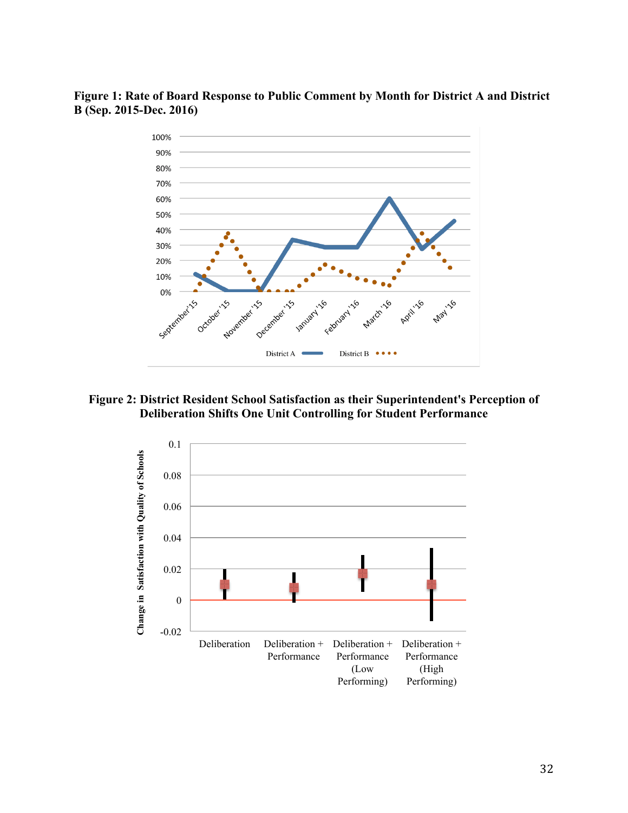## **Figure 1: Rate of Board Response to Public Comment by Month for District A and District B (Sep. 2015-Dec. 2016)**



**Figure 2: District Resident School Satisfaction as their Superintendent's Perception of Deliberation Shifts One Unit Controlling for Student Performance**